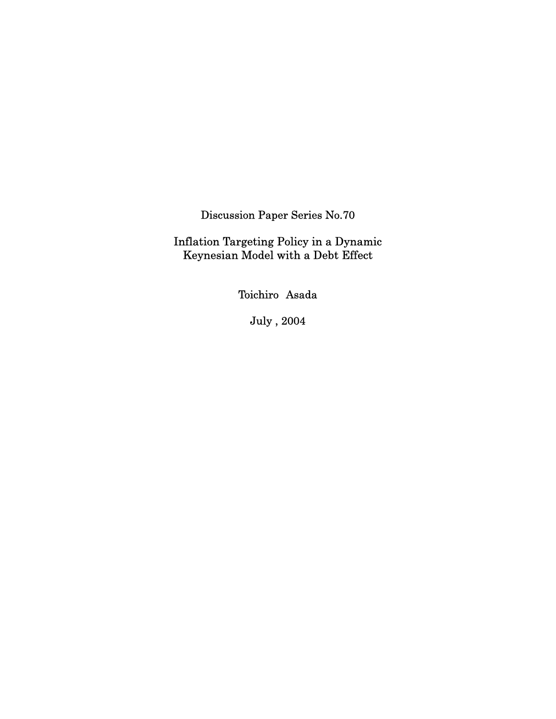Discussion Paper Series No.70

Inflation Targeting Policy in a Dynamic Keynesian Model with a Debt Effect

Toichiro Asada

July , 2004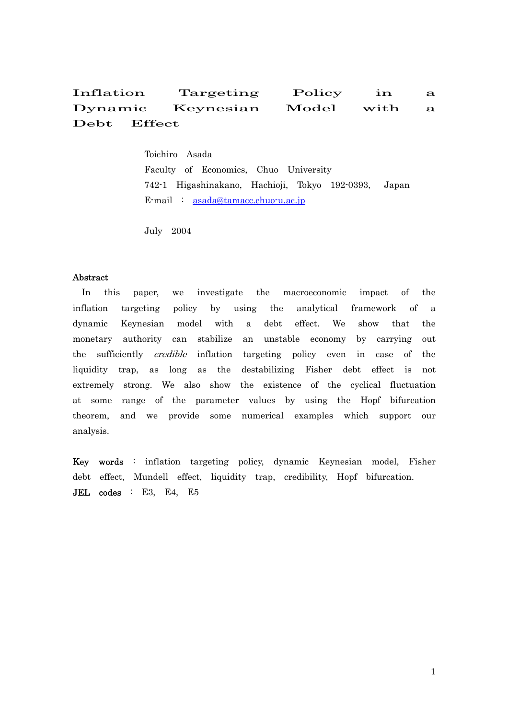# Inflation Targeting Policy in a Dynamic Keynesian Model with a Debt Effect

 Toichiro Asada Faculty of Economics, Chuo University 742-1 Higashinakano, Hachioji, Tokyo 192-0393, Japan E-mail : [asada@tamacc.chuo-u.ac.jp](mailto:asada@tamacc.chuo-u.ac.jp)

July 2004

## Abstract

In this paper, we investigate the macroeconomic impact of the inflation targeting policy by using the analytical framework of a dynamic Keynesian model with a debt effect. We show that the monetary authority can stabilize an unstable economy by carrying out the sufficiently credible inflation targeting policy even in case of the liquidity trap, as long as the destabilizing Fisher debt effect is not extremely strong. We also show the existence of the cyclical fluctuation at some range of the parameter values by using the Hopf bifurcation theorem, and we provide some numerical examples which support our analysis.

Key words : inflation targeting policy, dynamic Keynesian model, Fisher debt effect, Mundell effect, liquidity trap, credibility, Hopf bifurcation. JEL codes : E3, E4, E5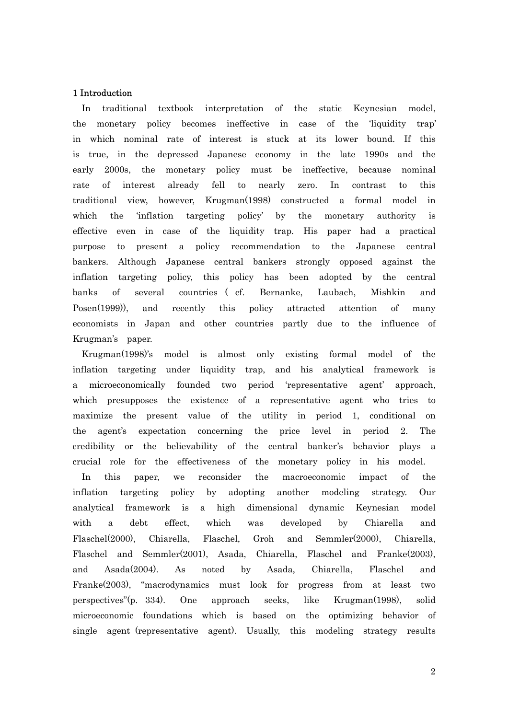#### 1 Introduction

In traditional textbook interpretation of the static Keynesian model, the monetary policy becomes ineffective in case of the 'liquidity trap' in which nominal rate of interest is stuck at its lower bound. If this is true, in the depressed Japanese economy in the late 1990s and the early 2000s, the monetary policy must be ineffective, because nominal rate of interest already fell to nearly zero. In contrast to this traditional view, however, Krugman(1998) constructed a formal model in which the 'inflation targeting policy' by the monetary authority is effective even in case of the liquidity trap. His paper had a practical purpose to present a policy recommendation to the Japanese central bankers. Although Japanese central bankers strongly opposed against the inflation targeting policy, this policy has been adopted by the central banks of several countries ( cf. Bernanke, Laubach, Mishkin and Posen(1999)), and recently this policy attracted attention of many economists in Japan and other countries partly due to the influence of Krugman's paper.

Krugman(1998)'s model is almost only existing formal model of the inflation targeting under liquidity trap, and his analytical framework is a microeconomically founded two period 'representative agent' approach, which presupposes the existence of a representative agent who tries to maximize the present value of the utility in period 1, conditional on the agent's expectation concerning the price level in period 2. The credibility or the believability of the central banker's behavior plays a crucial role for the effectiveness of the monetary policy in his model.

In this paper, we reconsider the macroeconomic impact of the inflation targeting policy by adopting another modeling strategy. Our analytical framework is a high dimensional dynamic Keynesian model with a debt effect, which was developed by Chiarella and Flaschel(2000), Chiarella, Flaschel, Groh and Semmler(2000), Chiarella, Flaschel and Semmler(2001), Asada, Chiarella, Flaschel and Franke(2003), and Asada(2004). As noted by Asada, Chiarella, Flaschel and Franke(2003), "macrodynamics must look for progress from at least two perspectives"(p. 334). One approach seeks, like Krugman(1998), solid microeconomic foundations which is based on the optimizing behavior of single agent (representative agent). Usually, this modeling strategy results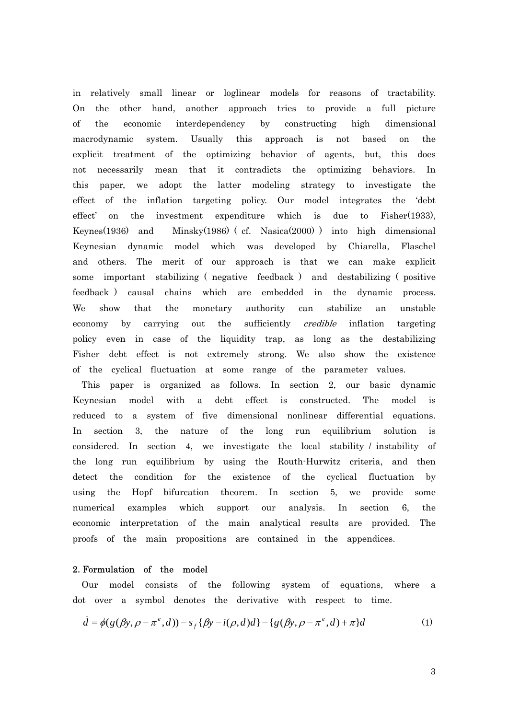in relatively small linear or loglinear models for reasons of tractability. On the other hand, another approach tries to provide a full picture of the economic interdependency by constructing high dimensional macrodynamic system. Usually this approach is not based on the explicit treatment of the optimizing behavior of agents, but, this does not necessarily mean that it contradicts the optimizing behaviors. In this paper, we adopt the latter modeling strategy to investigate the effect of the inflation targeting policy. Our model integrates the 'debt effect' on the investment expenditure which is due to Fisher(1933), Keynes(1936) and Minsky(1986) ( cf. Nasica(2000) ) into high dimensional Keynesian dynamic model which was developed by Chiarella, Flaschel and others. The merit of our approach is that we can make explicit some important stabilizing ( negative feedback ) and destabilizing ( positive feedback ) causal chains which are embedded in the dynamic process. We show that the monetary authority can stabilize an unstable economy by carrying out the sufficiently *credible* inflation targeting policy even in case of the liquidity trap, as long as the destabilizing Fisher debt effect is not extremely strong. We also show the existence of the cyclical fluctuation at some range of the parameter values.

This paper is organized as follows. In section 2, our basic dynamic Keynesian model with a debt effect is constructed. The model is reduced to a system of five dimensional nonlinear differential equations. In section 3, the nature of the long run equilibrium solution is considered. In section 4, we investigate the local stability / instability of the long run equilibrium by using the Routh-Hurwitz criteria, and then detect the condition for the existence of the cyclical fluctuation by using the Hopf bifurcation theorem. In section 5, we provide some numerical examples which support our analysis. In section 6, the economic interpretation of the main analytical results are provided. The proofs of the main propositions are contained in the appendices.

## 2. Formulation of the model

Our model consists of the following system of equations, where a dot over a symbol denotes the derivative with respect to time.

$$
\dot{d} = \phi(g(\beta y, \rho - \pi^e, d)) - s_f(\beta y - i(\rho, d)d) - \{g(\beta y, \rho - \pi^e, d) + \pi\}d
$$
 (1)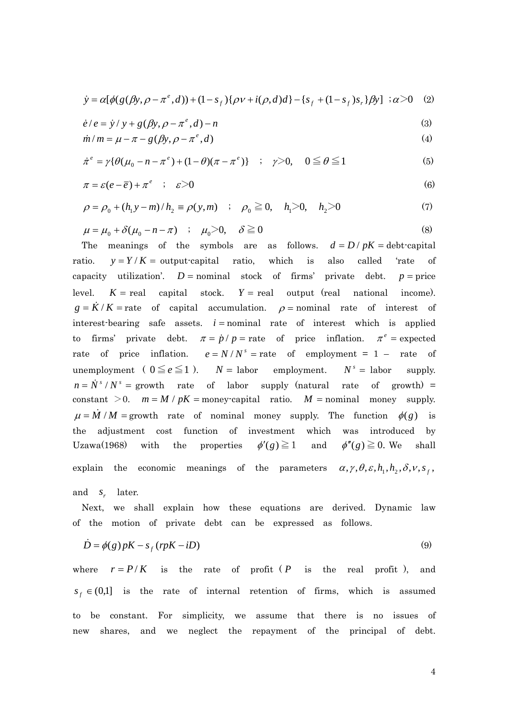$$
\dot{y} = \alpha[\phi(g(\beta y, \rho - \pi^e, d)) + (1 - s_f) \{\rho v + i(\rho, d)d\} - \{s_f + (1 - s_f)s_r\} \beta y] \; ; \alpha > 0 \quad (2)
$$

$$
\dot{e}/e = \dot{y}/y + g(\beta y, \rho - \pi^e, d) - n
$$
 (3)

$$
\dot{m}/m = \mu - \pi - g(\beta y, \rho - \pi^e, d)
$$
\n(4)

$$
\dot{\pi}^e = \gamma \{ \theta(\mu_0 - n - \pi^e) + (1 - \theta)(\pi - \pi^e) \} \quad ; \quad \gamma > 0, \quad 0 \le \theta \le 1 \tag{5}
$$

$$
\pi = \varepsilon (e - \overline{e}) + \pi^e \quad ; \quad \varepsilon > 0 \tag{6}
$$

$$
\rho = \rho_0 + (h_1 y - m)/h_2 \equiv \rho(y, m) \quad ; \quad \rho_0 \ge 0, \quad h_1 > 0, \quad h_2 > 0 \tag{7}
$$

$$
\mu = \mu_0 + \delta(\mu_0 - n - \pi) \quad ; \quad \mu_0 > 0, \quad \delta \ge 0 \tag{8}
$$

The meanings of the symbols are as follows.  $d = D / pK =$  debt-capital ratio.  $y = Y/K =$  output-capital ratio, which is also called 'rate of capacity utilization'.  $D =$  nominal stock of firms' private debt.  $p =$  price level.  $K = \text{real}$  capital stock.  $Y = \text{real}$  output (real national income).  $g = K/K$  = rate of capital accumulation.  $\rho$  = nominal rate of interest of interest-bearing safe assets.  $i =$  nominal rate of interest which is applied to firms' private debt.  $\pi = \dot{p} / p =$  rate of price inflation.  $\pi^e$  = expected rate of price inflation.  $e = N/N^s$  = rate of employment = 1 – rate of unemployment (  $0 \le e \le 1$  ).  $N =$  labor employment.  $N^s =$  labor supply.  $n = N^{s}/N^{s}$  = growth rate of labor supply (natural rate of growth) = constant  $>0$ .  $m = M/pK =$  money-capital ratio.  $M =$  nominal money supply.  $\mu = M/M =$  growth rate of nominal money supply. The function  $\phi(g)$  is the adjustment cost function of investment which was introduced by Uzawa(1968) with the properties  $\phi'(g) \ge 1$  and  $\phi''(g) \ge 0$ . We shall explain the economic meanings of the parameters  $\alpha$ ,  $\gamma$ ,  $\theta$ ,  $\varepsilon$ ,  $h_1$ ,  $h_2$ ,  $\delta$ ,  $v$ ,  $s_f$ ,

and *s* later.

Next, we shall explain how these equations are derived. Dynamic law of the motion of private debt can be expressed as follows.

$$
\dot{D} = \phi(g) pK - s_f (rpK - iD)
$$
\n(9)

where  $r = P/K$  is the rate of profit (*P* is the real profit), and  $s_f \in (0,1]$  is the rate of internal retention of firms, which is assumed to be constant. For simplicity, we assume that there is no issues of new shares, and we neglect the repayment of the principal of debt.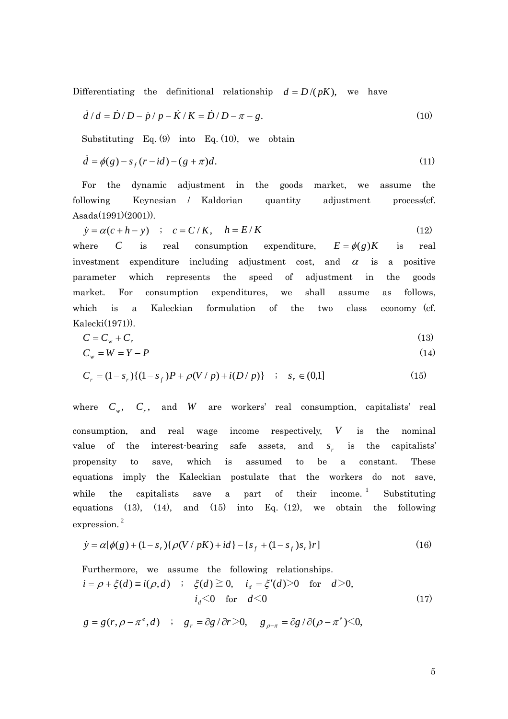Differentiating the definitional relationship  $d = D/(pK)$ , we have

$$
\dot{d}/d = \dot{D}/D - \dot{p}/p - \dot{K}/K = \dot{D}/D - \pi - g.
$$
\n(10)

Substituting Eq. (9) into Eq. (10), we obtain

$$
\dot{d} = \phi(g) - s_f (r - id) - (g + \pi)d. \tag{11}
$$

For the dynamic adjustment in the goods market, we assume the following Keynesian / Kaldorian quantity adjustment process(cf. Asada(1991)(2001)).

$$
\dot{y} = \alpha(c + h - y) \quad ; \quad c = C/K, \quad h = E/K \tag{12}
$$

where *C* is real consumption expenditure,  $E = \phi(g)K$  is real investment expenditure including adjustment cost, and  $\alpha$  is a positive parameter which represents the speed of adjustment in the goods market. For consumption expenditures, we shall assume as follows, which is a Kaleckian formulation of the two class economy (cf. Kalecki(1971)).

$$
C = C_w + C_r \tag{13}
$$

$$
C_w = W = Y - P \tag{14}
$$

$$
C_r = (1 - s_r)\{(1 - s_f)P + \rho(V/P) + i(D/P)\} \quad ; \quad s_r \in (0,1]
$$
 (15)

where  $C_w$ ,  $C_r$ , and *W* are workers' real consumption, capitalists' real consumption, and real wage income respectively, *V* is the nominal value of the interest-bearing safe assets, and  $s_r$  is the capitalists' propensity to save, which is assumed to be a constant. These equations imply the Kaleckian postulate that the workers do not save, while the capitalists save a part of their income.<sup>1</sup> Substituting equations  $(13)$ ,  $(14)$ , and  $(15)$  into Eq.  $(12)$ , we obtain the following expression. 2

$$
\dot{y} = \alpha[\phi(g) + (1 - s_r)\{\rho(V/pK) + id\} - \{s_f + (1 - s_f)s_r\}r]
$$
\n(16)

Furthermore, we assume the following relationships.  
\n
$$
i = \rho + \xi(d) \equiv i(\rho, d)
$$
;  $\xi(d) \ge 0$ ,  $i_d = \xi'(d) > 0$  for  $d > 0$ ,  
\n $i_d < 0$  for  $d < 0$  (17)

 $g = g(r, \rho - \pi^e, d)$  ;  $g_r = \frac{\partial g}{\partial r}$ ,  $\frac{\partial r}{\partial \rho}$ ,  $g_{\rho - \pi} = \frac{\partial g}{\partial (\rho - \pi^e)}$ ,  $g_{\rho - \pi}$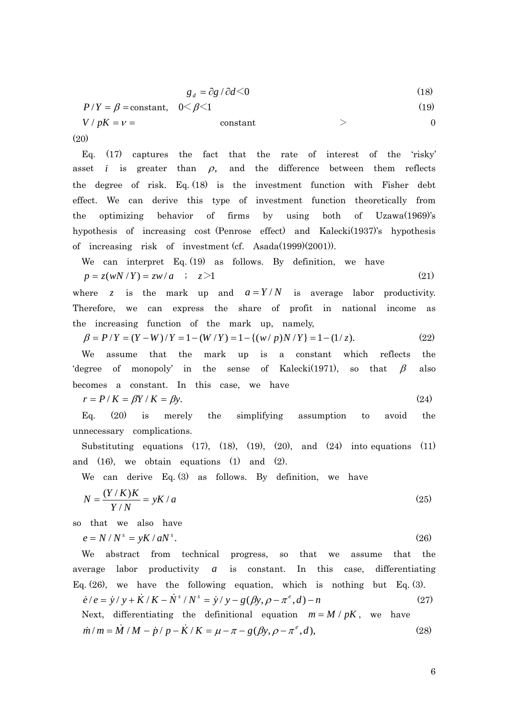$$
g_d = \partial g / \partial d \le 0 \tag{18}
$$

 $P/Y = \beta = \text{constant}, \quad 0 \leq \beta \leq 1$  (19)

 $V / pK = v =$  constant  $> 0$ (20)

Eq. (17) captures the fact that the rate of interest of the 'risky' asset *i* is greater than  $\rho$ , and the difference between them reflects the degree of risk. Eq. (18) is the investment function with Fisher debt effect. We can derive this type of investment function theoretically from the optimizing behavior of firms by using both of Uzawa(1969)'s hypothesis of increasing cost (Penrose effect) and Kalecki(1937)'s hypothesis of increasing risk of investment (cf. Asada(1999)(2001)).

We can interpret Eq. (19) as follows. By definition, we have  
\n
$$
p = z(wN/Y) = zw/a
$$
 ;  $z>1$  (21)

where *z* is the mark up and  $a = Y/N$  is average labor productivity. Therefore, we can express the share of profit in national income as the increasing function of the mark up, namely,

$$
\beta = P/Y = (Y - W)/Y = 1 - (W/Y) = 1 - \{(w/p)N/Y\} = 1 - (1/z). \tag{22}
$$

We assume that the mark up is a constant which reflects the 'degree of monopoly' in the sense of Kalecki(1971), so that  $\beta$  also becomes a constant. In this case, we have

$$
r = P/K = \beta Y/K = \beta y. \tag{24}
$$

Eq. (20) is merely the simplifying assumption to avoid the unnecessary complications.

Substituting equations  $(17)$ ,  $(18)$ ,  $(19)$ ,  $(20)$ , and  $(24)$  into equations  $(11)$ and  $(16)$ , we obtain equations  $(1)$  and  $(2)$ .

We can derive Eq. (3) as follows. By definition, we have

$$
N = \frac{(Y/K)K}{Y/N} = yK/a \tag{25}
$$

so that we also have

$$
e = N/N^s = yK/aN^s. \tag{26}
$$

We abstract from technical progress, so that we assume that the average labor productivity *a* is constant. In this case, differentiating Eq.  $(26)$ , we have the following equation, which is nothing but Eq.  $(3)$ .

$$
\dot{e}/e = \dot{y}/y + \dot{K}/K - \dot{N}^{s}/N^{s} = \dot{y}/y - g(\beta y, \rho - \pi^{e}, d) - n
$$
\nNext, differentiating the definitional equation  $m = M / pK$ , we have

$$
\dot{m}/m = \dot{M}/M - \dot{p}/p - \dot{K}/K = \mu - \pi - g(\beta y, \rho - \pi^e, d),
$$
\n(28)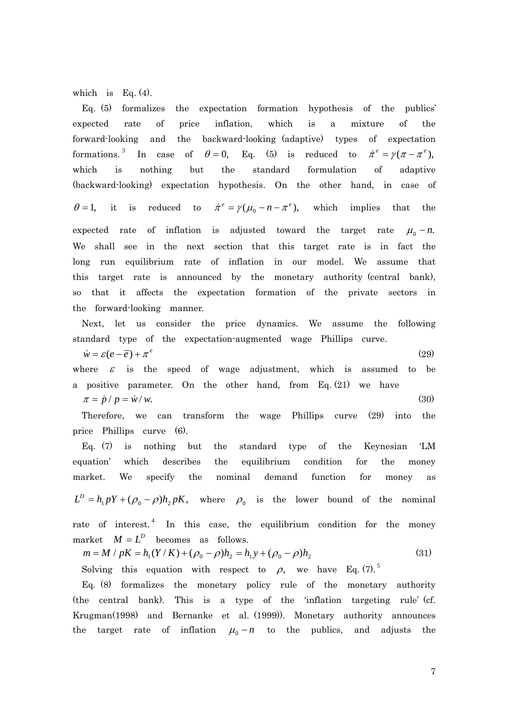which is Eq. (4).

Eq. (5) formalizes the expectation formation hypothesis of the publics' expected rate of price inflation, which is a mixture of the forward-looking and the backward-looking (adaptive) types of expectation formations.<sup>3</sup> In case of  $\theta = 0$ , Eq. (5) is reduced to  $\dot{\pi}^e = \gamma (\pi - \pi^e)$ , which is nothing but the standard formulation of adaptive (backward-looking) expectation hypothesis. On the other hand, in case of  $\theta = 1$ , it is reduced to  $\dot{\pi}^e = \gamma(\mu_0 - n - \pi^e)$ , which implies that the expected rate of inflation is adjusted toward the target rate  $\mu_0 - n$ . We shall see in the next section that this target rate is in fact the long run equilibrium rate of inflation in our model. We assume that this target rate is announced by the monetary authority (central bank), so that it affects the expectation formation of the private sectors in the forward-looking manner.

Next, let us consider the price dynamics. We assume the following standard type of the expectation-augmented wage Phillips curve.

 $\dot{w} = \varepsilon (e - \overline{e}) + \pi^e$  (29) where  $\varepsilon$  is the speed of wage adjustment, which is assumed to be a positive parameter. On the other hand, from Eq. (21) we have  $\pi = \dot{p} / p = \dot{w} / w.$  (30)

Therefore, we can transform the wage Phillips curve (29) into the price Phillips curve (6).

Eq. (7) is nothing but the standard type of the Keynesian 'LM equation' which describes the equilibrium condition for the money market. We specify the nominal demand function for money as  $L^D = h_1 pY + (\rho_0 - \rho)h_2 pK$ , where  $\rho_0$  is the lower bound of the nominal rate of interest.<sup>4</sup> In this case, the equilibrium condition for the money market  $M = L^D$  becomes as follows.

$$
m = M / pK = h_1(Y/K) + (\rho_0 - \rho)h_2 = h_1y + (\rho_0 - \rho)h_2
$$
\n(31)

Solving this equation with respect to  $\rho$ , we have Eq. (7).<sup>5</sup>

Eq. (8) formalizes the monetary policy rule of the monetary authority (the central bank). This is a type of the 'inflation targeting rule' (cf. Krugman(1998) and Bernanke et al. (1999)). Monetary authority announces the target rate of inflation  $\mu_0 - n$  to the publics, and adjusts the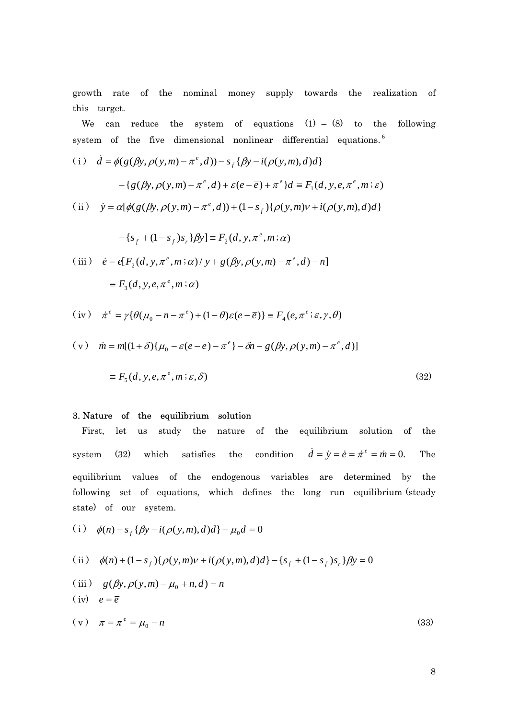growth rate of the nominal money supply towards the realization of this target.

We can reduce the system of equations  $(1) - (8)$  to the following system of the five dimensional nonlinear differential equations.<sup>6</sup>

(i) 
$$
\dot{d} = \phi(g(\beta y, \rho(y, m) - \pi^e, d)) - s_f \{\beta y - i(\rho(y, m), d)d\}
$$

$$
- \{g(\beta y, \rho(y, m) - \pi^e, d) + \varepsilon(e - \overline{e}) + \pi^e\}d \equiv F_1(d, y, e, \pi^e, m; \varepsilon)
$$
(ii) 
$$
\dot{y} = \alpha[\phi(g(\beta y, \rho(y, m) - \pi^e, d)) + (1 - s_f)\{\rho(y, m)v + i(\rho(y, m), d)d\}
$$

(iii) 
$$
\dot{e} = e[F_2(d, y, \pi^e, m; \alpha) / y + g(\beta y, \rho(y, m) - \pi^e, d) - n]
$$

$$
\equiv F_3(d, y, e, \pi^e, m; \alpha)
$$

 $-\{s_f + (1 - s_f)s_r\}$  $\beta$ y]  $\equiv F_2(d, y, \pi^e, m; \alpha)$ 

$$
(iv) \quad \dot{\pi}^e = \gamma \{ \theta(\mu_0 - n - \pi^e) + (1 - \theta)\varepsilon(e - \overline{e}) \} \equiv F_4(e, \pi^e; \varepsilon, \gamma, \theta)
$$

$$
(v) \quad \dot{m} = m[(1+\delta)\{\mu_0 - \varepsilon(e-\overline{e}) - \pi^e\} - \delta n - g(\beta y, \rho(y, m) - \pi^e, d)]
$$

$$
\equiv F_5(d, y, e, \pi^e, m; \varepsilon, \delta) \tag{32}
$$

## 3. Nature of the equilibrium solution

First, let us study the nature of the equilibrium solution of the system (32) which satisfies the condition  $\dot{d} = \dot{y} = \dot{e} = \dot{\pi}^e = \dot{m} = 0$ . The equilibrium values of the endogenous variables are determined by the following set of equations, which defines the long run equilibrium (steady state) of our system.

(i) 
$$
\phi(n) - s_f \{ \beta y - i(\rho(y, m), d) d \} - \mu_0 d = 0
$$

(ii) 
$$
\phi(n) + (1 - s_f) \{ \rho(y, m)v + i(\rho(y, m), d)d \} - \{ s_f + (1 - s_f) s_r \} \beta y = 0
$$

(iii)  $g(\beta y, \rho(y,m) - \mu_0 + n, d) = n$ 

$$
(iv) \quad e = \overline{e}
$$

$$
(v) \quad \pi = \pi^e = \mu_0 - n \tag{33}
$$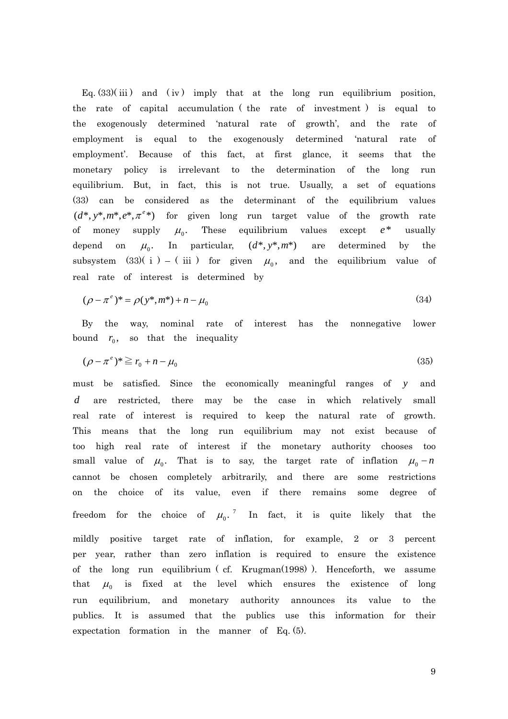Eq.  $(33)(iii)$  and  $(iv)$  imply that at the long run equilibrium position, the rate of capital accumulation ( the rate of investment ) is equal to the exogenously determined 'natural rate of growth', and the rate of employment is equal to the exogenously determined 'natural rate of employment'. Because of this fact, at first glance, it seems that the monetary policy is irrelevant to the determination of the long run equilibrium. But, in fact, this is not true. Usually, a set of equations (33) can be considered as the determinant of the equilibrium values  $(d^*, y^*, m^*, e^*, \pi^{e*})$  for given long run target value of the growth rate of money supply  $\mu_0$ . These equilibrium values except  $e^*$  usually depend on  $\mu_0$ . In particular,  $(d^*, y^*, m^*)$  are determined by the subsystem (33)( i ) – (iii ) for given  $\mu_0$ , and the equilibrium value of real rate of interest is determined by

$$
(\rho - \pi^e)^* = \rho(y^*, m^*) + n - \mu_0 \tag{34}
$$

By the way, nominal rate of interest has the nonnegative lower bound  $r_0$ , so that the inequality

$$
(\rho - \pi^e)^* \ge r_0 + n - \mu_0 \tag{35}
$$

must be satisfied. Since the economically meaningful ranges of *y* and are restricted, there may be the case in which relatively small *d* real rate of interest is required to keep the natural rate of growth. This means that the long run equilibrium may not exist because of too high real rate of interest if the monetary authority chooses too small value of  $\mu_0$ . That is to say, the target rate of inflation  $\mu_0 - n$ cannot be chosen completely arbitrarily, and there are some restrictions on the choice of its value, even if there remains some degree of freedom for the choice of  $\mu_0$ .<sup>7</sup> In fact, it is quite likely that the mildly positive target rate of inflation, for example, 2 or 3 percent per year, rather than zero inflation is required to ensure the existence of the long run equilibrium ( cf. Krugman(1998) ). Henceforth, we assume that  $\mu_0$  is fixed at the level which ensures the existence of long run equilibrium, and monetary authority announces its value to the publics. It is assumed that the publics use this information for their expectation formation in the manner of Eq. (5).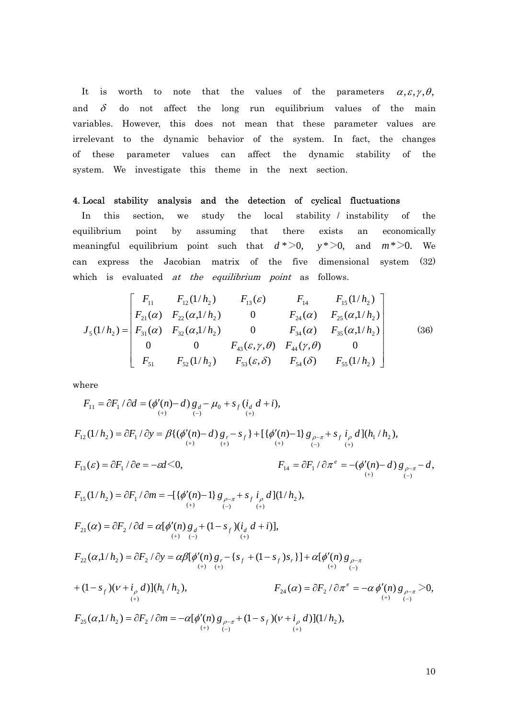It is worth to note that the values of the parameters  $\alpha, \varepsilon, \gamma, \theta$ , and  $\delta$  do not affect the long run equilibrium values of the main variables. However, this does not mean that these parameter values are irrelevant to the dynamic behavior of the system. In fact, the changes of these parameter values can affect the dynamic stability of the system. We investigate this theme in the next section.

#### 4. Local stability analysis and the detection of cyclical fluctuations

In this section, we study the local stability / instability of the equilibrium point by assuming that there exists an economically meaningful equilibrium point such that  $d^* > 0$ ,  $y^* > 0$ , and  $m^* > 0$ . We can express the Jacobian matrix of the five dimensional system (32) which is evaluated *at the equilibrium point* as follows.  $y^* > 0$ , and  $m^* > 0$ .

$$
J_{5}(1/h_{2}) = \begin{bmatrix} F_{11} & F_{12}(1/h_{2}) & F_{13}(\varepsilon) & F_{14} & F_{15}(1/h_{2}) \ F_{21}(\alpha) & F_{22}(\alpha,1/h_{2}) & 0 & F_{24}(\alpha) & F_{25}(\alpha,1/h_{2}) \ F_{31}(\alpha) & F_{32}(\alpha,1/h_{2}) & 0 & F_{34}(\alpha) & F_{35}(\alpha,1/h_{2}) \ 0 & 0 & F_{43}(\varepsilon,\gamma,\theta) & F_{44}(\gamma,\theta) & 0 \ F_{51} & F_{52}(1/h_{2}) & F_{53}(\varepsilon,\delta) & F_{54}(\delta) & F_{55}(1/h_{2}) \end{bmatrix}
$$
(36)

where

 / ( ( ) ) ( ), ( ) 0 ( ) ( ) <sup>11</sup> <sup>1</sup> *<sup>F</sup> <sup>F</sup> <sup>d</sup> <sup>n</sup> <sup>d</sup> <sup>g</sup> <sup>s</sup> <sup>i</sup> <sup>d</sup> <sup>i</sup>* <sup>=</sup> <sup>∂</sup> <sup>∂</sup> <sup>=</sup> ′ <sup>−</sup> *<sup>d</sup>* <sup>−</sup> <sup>+</sup> *<sup>f</sup> <sup>d</sup>* <sup>+</sup> <sup>+</sup> <sup>−</sup> <sup>+</sup> φ µ (1/ ) / {( ( ) ) } [{ ( ) 1} ]( / ), <sup>1</sup> <sup>2</sup> ( ) ( ) ( ) ( ) ( ) *F*<sup>12</sup> *h*<sup>2</sup> *F*<sup>1</sup> *y n d gr sf n g sf i d h h* − + <sup>−</sup> <sup>+</sup> <sup>+</sup> <sup>+</sup> = ∂ ∂ = β φ′ − − + φ′ − <sup>ρ</sup> <sup>π</sup> + <sup>ρ</sup> ( ) / 0, *F*<sup>13</sup> <sup>ε</sup> = ∂*F*<sup>1</sup> ∂*e* = −ε*d*< / ( ( ) ) , ( ) ( ) *F*<sup>14</sup> *F*<sup>1</sup> *n d g d <sup>e</sup>* = ∂ ∂ = − ′ − − − <sup>−</sup> <sup>+</sup> <sup>π</sup> φ <sup>ρ</sup> <sup>π</sup> (1/ ) / [{ ( ) 1} ](1/ ), *F*<sup>15</sup> *h*<sup>2</sup> *F*<sup>1</sup> *m* <sup>2</sup> ( ) ( ) ( ) *n g sf i d h* − + <sup>−</sup> <sup>+</sup> = − ′ − <sup>ρ</sup> <sup>π</sup> + <sup>ρ</sup> = ∂ ∂ φ ( ) / [ ( ) (1 )( )], ( ) ( ) ( ) <sup>21</sup> <sup>2</sup> *<sup>F</sup> <sup>F</sup> <sup>d</sup> <sup>n</sup> <sup>g</sup> <sup>s</sup> <sup>i</sup> <sup>d</sup> <sup>i</sup>* <sup>=</sup> <sup>∂</sup> <sup>∂</sup> <sup>=</sup> ′ *<sup>d</sup>* <sup>+</sup> <sup>−</sup> *<sup>f</sup> <sup>d</sup>* <sup>+</sup> <sup>+</sup> <sup>−</sup> <sup>+</sup> <sup>α</sup> <sup>α</sup> φ ( ) ( ) ( ) ( ) <sup>22</sup> <sup>2</sup> <sup>2</sup> ( ,1/ ) / [ ( ) { (1 ) }] [ ( ) − <sup>−</sup> <sup>+</sup> <sup>+</sup> <sup>+</sup> = ∂ ∂ = ′ − + − + ′ <sup>α</sup> αβ φ <sup>α</sup> φ *n g* <sup>ρ</sup> <sup>π</sup> *F h F y n g s s s <sup>r</sup> <sup>f</sup> <sup>f</sup> <sup>r</sup>* (1 )( )]( / ), <sup>1</sup> <sup>2</sup> ( ) *sf i d h h* + + − <sup>ν</sup> + <sup>ρ</sup> ( ) / ( ) 0, ( ) ( ) <sup>24</sup> <sup>2</sup> >− <sup>−</sup> <sup>+</sup> = ∂ ∂ = − ′ *F* <sup>α</sup> *F* <sup>π</sup> <sup>α</sup> φ *n g* <sup>ρ</sup> <sup>π</sup> *e* ( ,1/ ) / [ ( ) (1 )( )](1/ ), <sup>2</sup> ( ) ( ) ( ) *F*<sup>25</sup> *h*<sup>2</sup> *F*<sup>2</sup> *m n g sf i d h* − + <sup>−</sup> <sup>+</sup> <sup>α</sup> = ∂ ∂ = −<sup>α</sup> φ′ <sup>ρ</sup> <sup>π</sup> + − <sup>ν</sup> + <sup>ρ</sup>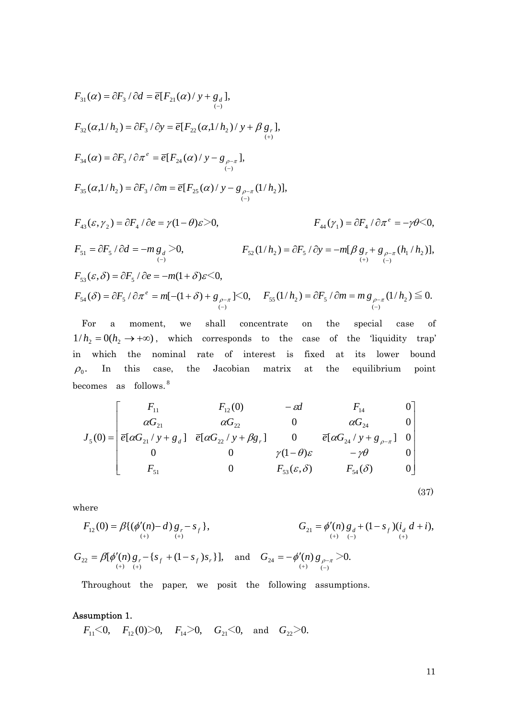$$
F_{31}(\alpha) = \partial F_3 / \partial d = \overline{e}[F_{21}(\alpha) / y + g_d],
$$
  
\n
$$
F_{32}(\alpha,1/h_2) = \partial F_3 / \partial y = \overline{e}[F_{22}(\alpha,1/h_2) / y + \beta g_r],
$$
  
\n
$$
F_{34}(\alpha) = \partial F_3 / \partial \pi^e = \overline{e}[F_{24}(\alpha) / y - g_{\rho-\pi}],
$$
  
\n
$$
F_{35}(\alpha,1/h_2) = \partial F_3 / \partial m = \overline{e}[F_{25}(\alpha) / y - g_{\rho-\pi}(1/h_2)],
$$
  
\n
$$
F_{43}(\varepsilon, \gamma_2) = \partial F_4 / \partial e = \gamma(1-\theta)\varepsilon > 0,
$$
  
\n
$$
F_{44}(\gamma_1) = \partial F_4 / \partial \pi^e = -\gamma\theta < 0,
$$
  
\n
$$
F_{51} = \partial F_5 / \partial d = -m g_d > 0,
$$
  
\n
$$
F_{52}(\frac{1}{h_2}) = \partial F_5 / \partial y = -m[\beta g_r + g_{\rho-\pi}(h_1/h_2)],
$$
  
\n
$$
F_{53}(\varepsilon, \delta) = \partial F_5 / \partial e = -m(1+\delta)\varepsilon < 0,
$$
  
\n
$$
F_{54}(\delta) = \partial F_5 / \partial \pi^e = m[-(1+\delta) + g_{\rho-\pi}] < 0,
$$
  
\n
$$
F_{55}(\frac{1}{h_2}) = \partial F_5 / \partial m = m g_{\rho-\pi}(1/h_2) \le 0.
$$

For a moment, we shall concentrate on the special case of  $1/h_2 = 0(h_2 \rightarrow +\infty)$ , which corresponds to the case of the 'liquidity trap' in which the nominal rate of interest is fixed at its lower bound  $\rho_0$ . In this case, the Jacobian matrix at the equilibrium point becomes as follows.<sup>8</sup>

 $(-)$ 

−

$$
J_{5}(0) = \begin{bmatrix} F_{11} & F_{12}(0) & -\varepsilon d & F_{14} & 0 \\ \alpha G_{21} & \alpha G_{22} & 0 & \alpha G_{24} & 0 \\ \overline{e}[\alpha G_{21}/y + g_{d}] & \overline{e}[\alpha G_{22}/y + \beta g_{r}] & 0 & \overline{e}[\alpha G_{24}/y + g_{\rho-\pi}] & 0 \\ 0 & 0 & \gamma(1-\theta)\varepsilon & -\gamma\theta & 0 \\ F_{51} & 0 & F_{53}(\varepsilon, \delta) & F_{54}(\delta) & 0 \end{bmatrix}
$$

(37)

 $(-)$ 

−

$$
F_{12}(0) = \beta \{ (\phi'(n) - d) g_r - s_f \},
$$
  
\n
$$
G_{21} = \phi'(n) g_d + (1 - s_f) (i_d d + i),
$$
  
\n
$$
G_{22} = \beta [\phi'(n) g_r - \{ s_f + (1 - s_f) s_r \}],
$$
 and 
$$
G_{24} = -\phi'(n) g_{\rho - \pi} > 0.
$$

 $(+)$   $(-)$ 

Throughout the paper, we posit the following assumptions.

#### Assumption 1.

where

 $F_{11} \le 0$ ,  $F_{12}(0) \ge 0$ ,  $F_{14} \ge 0$ ,  $G_{21} \le 0$ , and  $G_{22} \ge 0$ .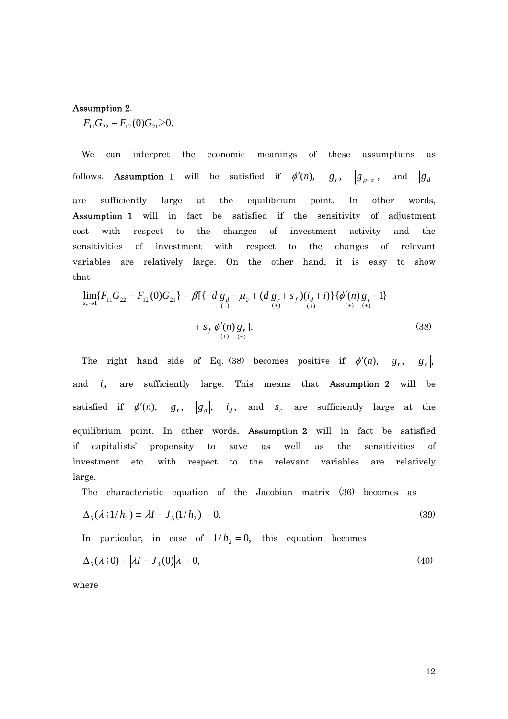#### Assumption 2.

 $F_{11}G_{22} - F_{12}(0)G_{21} > 0.$ 

We can interpret the economic meanings of these assumptions as follows. **Assumption 1** will be satisfied if  $\phi'(n)$ ,  $g_r$ ,  $|g_{\rho-\pi}|$ , and  $|g_d|$ are sufficiently large at the equilibrium point. In other words, Assumption 1 will in fact be satisfied if the sensitivity of adjustment cost with respect to the changes of investment activity and the sensitivities of investment with respect to the changes of relevant variables are relatively large. On the other hand, it is easy to show that

$$
\lim_{s_r \to 1} \{F_{11}G_{22} - F_{12}(0)G_{21}\} = \beta \{ \{-d\ g_d - \mu_0 + (d\ g_r + s_f)(i_d + i) \} \{\phi'(n)g_r - 1 \} + s_f \phi'(n)g_r \}.
$$
\n
$$
+ s_f \phi'(n)g_r \}.
$$
\n(38)

The right hand side of Eq. (38) becomes positive if  $\phi'(n)$ ,  $g_r$ ,  $|g_d|$ , and  $i_d$  are sufficiently large. This means that **Assumption 2** will be satisfied if  $\phi'(n)$ ,  $g_r$ ,  $|g_d|$ ,  $i_d$ , and  $s_r$  are sufficiently large at the equilibrium point. In other words, Assumption 2 will in fact be satisfied if capitalists' propensity to save as well as the sensitivities of investment etc. with respect to the relevant variables are relatively large.

The characteristic equation of the Jacobian matrix (36) becomes as

$$
\Delta_5(\lambda \cdot 1/h_2) \equiv |\lambda I - J_5(1/h_2)| = 0. \tag{39}
$$

In particular, in case of  $1/h<sub>2</sub> = 0$ , this equation becomes

$$
\Delta_5(\lambda;0) = |\lambda I - J_4(0)|\lambda = 0,\tag{40}
$$

where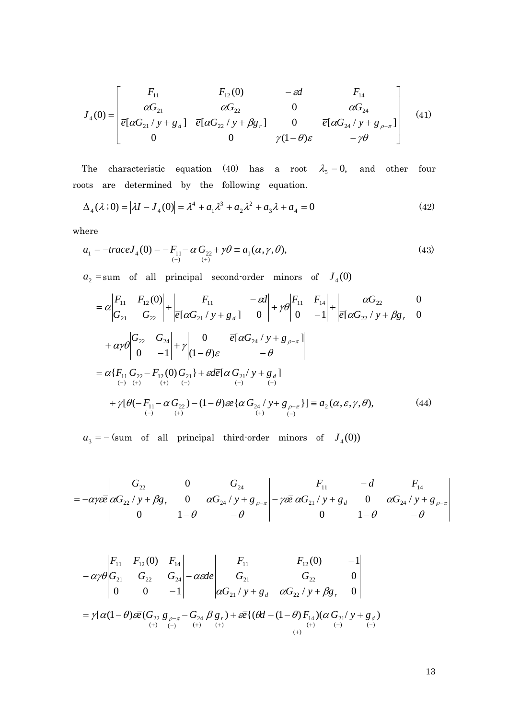$$
J_4(0) = \begin{bmatrix} F_{11} & F_{12}(0) & -\varepsilon d & F_{14} \\ \alpha G_{21} & \alpha G_{22} & 0 & \alpha G_{24} \\ \overline{e}[\alpha G_{21}/y + g_d] & \overline{e}[\alpha G_{22}/y + \beta g_r] & 0 & \overline{e}[\alpha G_{24}/y + g_{\rho-\pi}] \\ 0 & 0 & \gamma(1-\theta)\varepsilon & -\gamma\theta \end{bmatrix}
$$
(41)

The characteristic equation (40) has a root  $\lambda_5 = 0$ , and other four roots are determined by the following equation.

$$
\Delta_4(\lambda;0) = |\lambda I - J_4(0)| = \lambda^4 + a_1 \lambda^3 + a_2 \lambda^2 + a_3 \lambda + a_4 = 0
$$
\n(42)

where

$$
a_1 = -\text{trace} J_4(0) = -F_{11} - \alpha G_{22} + \gamma \theta \equiv a_1(\alpha, \gamma, \theta), \tag{43}
$$

 $a_2$  = sum of all principal second-order minors of  $J_4(0)$ 

$$
= \alpha \begin{vmatrix} F_{11} & F_{12}(0) \ G_{21} & G_{22} \end{vmatrix} + \begin{vmatrix} F_{11} & -\epsilon d \ \epsilon [\alpha G_{21}/y + g_d] & 0 \end{vmatrix} + \gamma \theta \begin{vmatrix} F_{11} & F_{14} \ 0 & -1 \end{vmatrix} + \begin{vmatrix} \alpha G_{22} & 0 \ \epsilon [\alpha G_{22}/y + \beta g_r & 0 \end{vmatrix}
$$
  
+  $\alpha \gamma \theta \begin{vmatrix} G_{22} & G_{24} \ 0 & -1 \end{vmatrix} + \gamma \begin{vmatrix} 0 & \bar{\epsilon} [\alpha G_{24}/y + g_{\rho-\pi}] \ (1-\theta)\epsilon & -\theta \end{vmatrix}$   
=  $\alpha \{F_{11} G_{22} - F_{12}(0) G_{21} \} + \epsilon d\bar{\epsilon} [\alpha G_{21}/y + g_d]$   
+  $\gamma [\theta (-F_{11} - \alpha G_{22}) - (1-\theta)\epsilon \bar{\epsilon} {\alpha G_{24}/y + g_{\rho-\pi}}] = a_2(\alpha, \epsilon, \gamma, \theta),$  (44)

 $a_3 = -$  (sum of all principal third-order minors of  $J_4(0)$ )

$$
= -\alpha \gamma \varepsilon \overline{e} \begin{vmatrix} G_{22} & 0 & G_{24} \\ \alpha G_{22} / y + \beta g_r & 0 & \alpha G_{24} / y + g_{\rho-\pi} \\ 0 & 1 - \theta & -\theta \end{vmatrix} - \gamma \varepsilon \overline{e} \begin{vmatrix} F_{11} & -d & F_{14} \\ \alpha G_{21} / y + g_d & 0 & \alpha G_{24} / y + g_{\rho-\pi} \\ 0 & 1 - \theta & -\theta \end{vmatrix}
$$

$$
-\alpha \gamma \theta \begin{vmatrix} F_{11} & F_{12}(0) & F_{14} \\ G_{21} & G_{22} & G_{24} \\ 0 & 0 & -1 \end{vmatrix} - \alpha \epsilon d\overline{e} \begin{vmatrix} F_{11} & F_{12}(0) & -1 \\ G_{21} & G_{22} & 0 \\ \alpha G_{21} / y + g_d & \alpha G_{22} / y + \beta g_r & 0 \end{vmatrix}
$$
  
=  $\gamma [\alpha (1-\theta) \epsilon \overline{e} (G_{22} g_{\rho-\pi} - G_{24} \beta g_r) + \epsilon \overline{e} ( (\theta d - (1-\theta) F_{14}) (\alpha G_{21} / y + g_d) (F_{1}) \Theta_{(1)} + \epsilon \overline{e} ( (\theta d - (1-\theta) F_{14}) (\alpha G_{21} / y + g_d) (F_{1}) \Theta_{(1)} + \epsilon \overline{e} ( (\theta d - (1-\theta) F_{14}) (\alpha G_{21} / y + g_d) (F_{1}) \Theta_{(1)} + \epsilon \overline{e} ( (\theta d - (1-\theta) F_{14}) (\alpha G_{21} / y + g_d) (F_{1}) \Theta_{(1)} + \epsilon \overline{e} ( (\theta d - (1-\theta) F_{14}) (\alpha G_{21} / y + g_d) (F_{14}) \Theta_{(1)} + \epsilon \overline{e} ( (\theta d - (1-\theta) F_{14}) (\alpha G_{21} / y + g_d) (F_{14}) \Theta_{(1)} + \epsilon \overline{e} ( (\theta d - (1-\theta) F_{14}) (\alpha G_{21} / y + g_d) (F_{14}) \Theta_{(1)} + \epsilon \overline{e} ( (\theta d - (1-\theta) F_{14}) (\alpha G_{21} / y + g_d) (F_{14}) \Theta_{(1)} + \epsilon \overline{e} ( (\theta d - (1-\theta) F_{14}) (\alpha G_{21} / y + g_d) (F_{14}) \Theta_{(1)} + \epsilon \overline{e} ( (\theta d - (1-\theta) F_{14}) (\alpha G_{21} / y + g_d) (F_{14}) \Theta_{(1)} + \epsilon \overline{e} ( (\alpha d - (1-\theta) F_{14}) (\alpha G_{21} / y + g_d) (F_{14}) \Theta_{(1)} + \epsilon \overline{e} ( (\alpha d - (1-\theta) F_{14}) (\alpha G$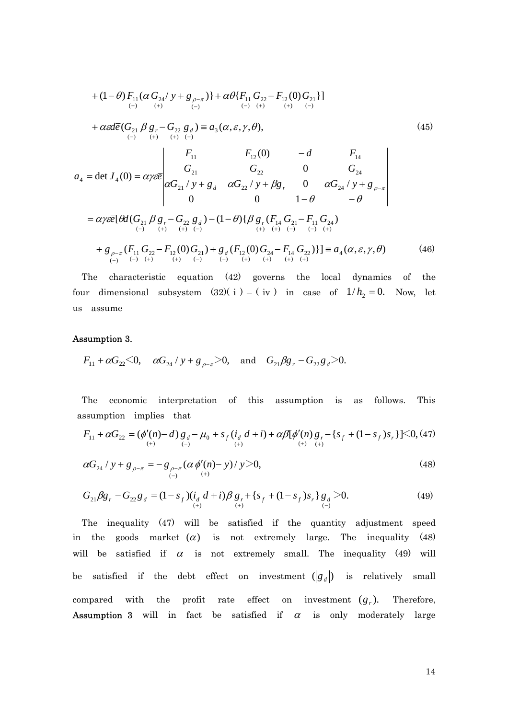+ 
$$
(1 - \theta) F_{11} (\alpha G_{24} / y + g_{\rho-\pi})
$$
 +  $\alpha \theta \{ F_{11} G_{22} - F_{12} (0) G_{21} \}$   
\n+  $\alpha \alpha \overline{e} (G_{21} \beta g_{r} - G_{22} g_{d}) = a_{3} (\alpha, \varepsilon, \gamma, \theta),$   
\n+  $\alpha \alpha \overline{e} (G_{21} \beta g_{r} - G_{22} g_{d}) = a_{3} (\alpha, \varepsilon, \gamma, \theta),$   
\n $a_{4} = \det J_{4}(0) = \alpha \gamma \varepsilon \overline{e} \begin{vmatrix} F_{11} & F_{12}(0) & -d & F_{14} \\ G_{21} & G_{22} & 0 & G_{24} \\ \alpha G_{21} / y + g_{d} & \alpha G_{22} / y + \beta g_{r} & 0 & \alpha G_{24} / y + g_{\rho-\pi} \\ 0 & 0 & 1 - \theta & -\theta \end{vmatrix}$   
\n=  $\alpha \gamma \varepsilon \overline{e} [\theta d(G_{21} \beta g_{r} - G_{22} g_{d}) - (1 - \theta) {\beta g_{r}} (F_{14} G_{21} - F_{11} G_{24})$   
\n+  $g_{\rho-\pi} (F_{11} G_{22} - F_{12} (0) G_{21}) + g_{d} (F_{12} (0) G_{24} - F_{14} G_{22})$ ]  
\n+  $g_{\rho-\pi} (F_{11} G_{22} - F_{12} (0) G_{21}) + g_{d} (F_{12} (0) G_{24} - F_{14} G_{22})$ ]  
\n $(-)$ 

The characteristic equation (42) governs the local dynamics of the four dimensional subsystem  $(32)(i) - (iv)$  in case of  $1/h_2 = 0$ . Now, let us assume

#### Assumption 3.

$$
F_{11} + \alpha G_{22} < 0
$$
,  $\alpha G_{24} / y + g_{\rho-\pi} > 0$ , and  $G_{21} \beta g_r - G_{22} g_d > 0$ .

The economic interpretation of this assumption is as follows. This assumption implies that

$$
F_{11} + \alpha G_{22} = (\phi'(n) - d) g_d - \mu_0 + s_f (i_d d + i) + \alpha \beta [\phi'(n) g_r - \{s_f + (1 - s_f)s_r\}] \leq 0, (47)
$$

$$
\alpha G_{24} / y + g_{\rho-\pi} = -g_{\rho-\pi} (\alpha \phi'(n) - y) / y > 0,
$$
\n(48)

$$
G_{21}\beta g_r - G_{22}g_d = (1 - s_f)(i_d d + i)\beta g_r + \{s_f + (1 - s_f)s_r\}g_d > 0.
$$
\n(49)

The inequality (47) will be satisfied if the quantity adjustment speed in the goods market  $(\alpha)$  is not extremely large. The inequality (48) will be satisfied if  $\alpha$  is not extremely small. The inequality (49) will be satisfied if the debt effect on investment  $\left( \begin{matrix} g_d \end{matrix} \right)$  is relatively small compared with the profit rate effect on investment  $(g_r)$ . Therefore, **Assumption 3** will in fact be satisfied if  $\alpha$  is only moderately large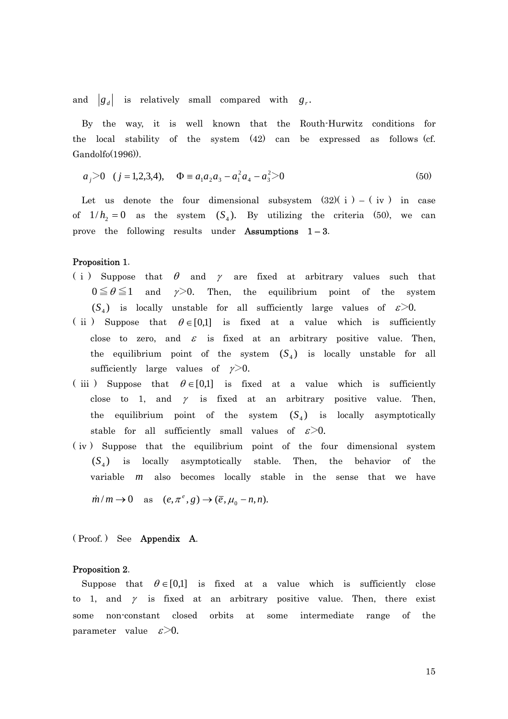and  $|g_d|$  is relatively small compared with  $g_r$ .

By the way, it is well known that the Routh-Hurwitz conditions for the local stability of the system (42) can be expressed as follows (cf. Gandolfo(1996)).

$$
a_j > 0
$$
 (j = 1,2,3,4),  $\Phi = a_1 a_2 a_3 - a_1^2 a_4 - a_3^2 > 0$  (50)

Let us denote the four dimensional subsystem  $(32)(i) - (i\nu)$  in case of  $1/h_2 = 0$  as the system  $(S_4)$ . By utilizing the criteria (50), we can prove the following results under Assumptions  $1-3$ .

#### Proposition 1.

- (i) Suppose that  $\theta$  and  $\gamma$  are fixed at arbitrary values such that  $0 \le \theta \le 1$  and  $\gamma > 0$ . Then, the equilibrium point of the system  $(S_4)$  is locally unstable for all sufficiently large values of  $\epsilon > 0$ .
- ( ii ) Suppose that  $\theta \in [0,1]$  is fixed at a value which is sufficiently close to zero, and  $\varepsilon$  is fixed at an arbitrary positive value. Then, the equilibrium point of the system  $(S_4)$  is locally unstable for all sufficiently large values of  $\gamma$ >0.
- (iii) Suppose that  $\theta \in [0,1]$  is fixed at a value which is sufficiently close to 1, and  $\gamma$  is fixed at an arbitrary positive value. Then, the equilibrium point of the system  $(S_4)$  is locally asymptotically stable for all sufficiently small values of  $\varepsilon > 0$ .
- ( iv ) Suppose that the equilibrium point of the four dimensional system  $(S_4)$  is locally asymptotically stable. Then, the behavior of the variable  $m$  also becomes locally stable in the sense that we have

 $\dot{m}/m \rightarrow 0$  as  $(e, \pi^e, g) \rightarrow (\bar{e}, \mu_0 - n, n).$ 

( Proof. ) See Appendix A.

#### Proposition 2.

Suppose that  $\theta \in [0,1]$  is fixed at a value which is sufficiently close to 1, and  $\gamma$  is fixed at an arbitrary positive value. Then, there exist some non-constant closed orbits at some intermediate range of the parameter value  $\varepsilon > 0$ .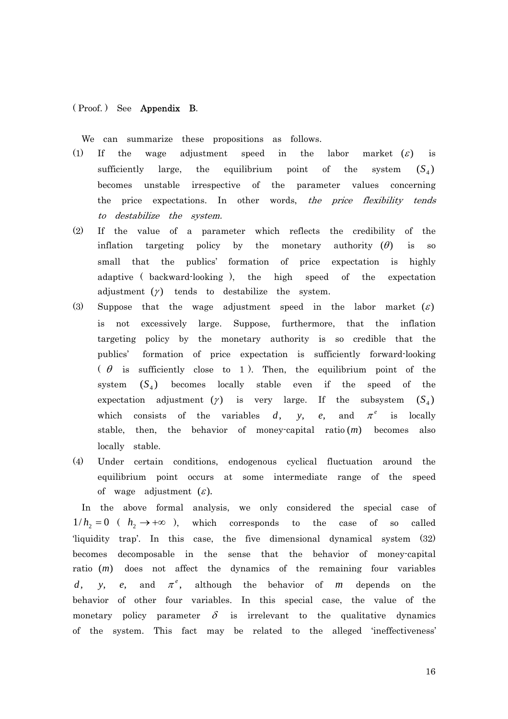#### ( Proof. ) See Appendix B.

We can summarize these propositions as follows.

- (1) If the wage adjustment speed in the labor market  $(\varepsilon)$  is sufficiently large, the equilibrium point of the system becomes unstable irrespective of the parameter values concerning the price expectations. In other words, the price flexibility tends to destabilize the system.  $(S_4)$
- (2) If the value of a parameter which reflects the credibility of the inflation targeting policy by the monetary authority  $(\theta)$  is so small that the publics' formation of price expectation is highly adaptive ( backward-looking ), the high speed of the expectation adjustment  $(y)$  tends to destabilize the system.
- (3) Suppose that the wage adjustment speed in the labor market  $(\varepsilon)$ is not excessively large. Suppose, furthermore, that the inflation targeting policy by the monetary authority is so credible that the publics' formation of price expectation is sufficiently forward-looking  $(\theta$  is sufficiently close to 1). Then, the equilibrium point of the system  $(S_4)$  becomes locally stable even if the speed of the expectation adjustment  $(y)$  is very large. If the subsystem which consists of the variables  $d$ ,  $(S_4)$ *d*, *y*, *e*, and  $\pi^e$  is locally stable, then, the behavior of money-capital ratio  $(m)$  becomes also locally stable.
- (4) Under certain conditions, endogenous cyclical fluctuation around the equilibrium point occurs at some intermediate range of the speed of wage adjustment  $(\varepsilon)$ .

In the above formal analysis, we only considered the special case of  $1/h$ <sub>2</sub> = 0 ( $h$ <sub>2</sub>  $\rightarrow$  +∞ ), which corresponds to the case of so called 'liquidity trap'. In this case, the five dimensional dynamical system (32) becomes decomposable in the sense that the behavior of money-capital ratio (*m*) does not affect the dynamics of the remaining four variables d, *y*, *e*, and  $\pi^e$ , although the behavior of m depends on the behavior of other four variables. In this special case, the value of the monetary policy parameter  $\delta$  is irrelevant to the qualitative dynamics of the system. This fact may be related to the alleged 'ineffectiveness'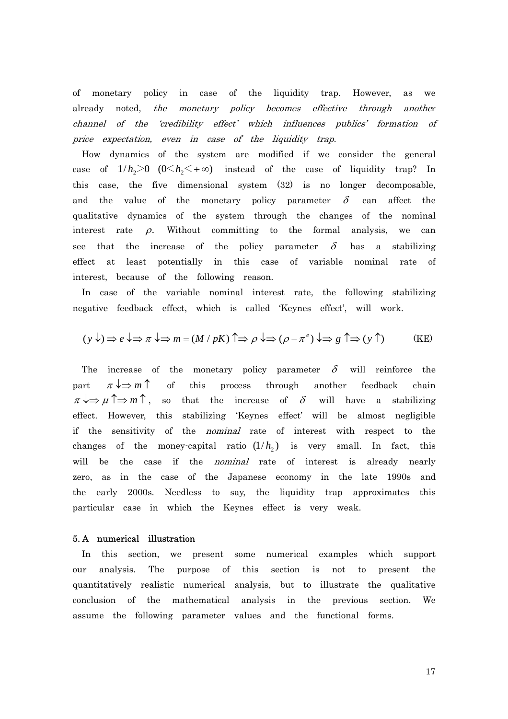of monetary policy in case of the liquidity trap. However, as we already noted, the monetary policy becomes effective through another channel of the 'credibility effect' which influences publics' formation of price expectation, even in case of the liquidity trap.

How dynamics of the system are modified if we consider the general case of  $1/h_2 > 0$   $(0 \le h_2 \le +\infty)$  instead of the case of liquidity trap? In this case, the five dimensional system (32) is no longer decomposable, and the value of the monetary policy parameter  $\delta$  can affect the qualitative dynamics of the system through the changes of the nominal interest rate  $\rho$ . Without committing to the formal analysis, we can see that the increase of the policy parameter  $\delta$  has a stabilizing effect at least potentially in this case of variable nominal rate of interest, because of the following reason.

In case of the variable nominal interest rate, the following stabilizing negative feedback effect, which is called 'Keynes effect', will work.

$$
(y \downarrow) \Rightarrow e \downarrow \Rightarrow \pi \downarrow \Rightarrow m = (M / pK) \uparrow \Rightarrow \rho \downarrow \Rightarrow (\rho - \pi^e) \downarrow \Rightarrow g \uparrow \Rightarrow (y \uparrow)
$$
 (KE)

The increase of the monetary policy parameter  $\delta$  will reinforce the part  $\pi \downarrow \Rightarrow m \uparrow$  of this process through another feedback chain  $\pi \downarrow \Rightarrow \mu \uparrow \Rightarrow m \uparrow$ , so that the increase of  $\delta$  will have a stabilizing effect. However, this stabilizing 'Keynes effect' will be almost negligible if the sensitivity of the nominal rate of interest with respect to the changes of the money-capital ratio  $(1/h<sub>2</sub>)$  is very small. In fact, this will be the case if the *nominal* rate of interest is already nearly zero, as in the case of the Japanese economy in the late 1990s and the early 2000s. Needless to say, the liquidity trap approximates this particular case in which the Keynes effect is very weak.

#### 5. A numerical illustration

In this section, we present some numerical examples which support our analysis. The purpose of this section is not to present the quantitatively realistic numerical analysis, but to illustrate the qualitative conclusion of the mathematical analysis in the previous section. We assume the following parameter values and the functional forms.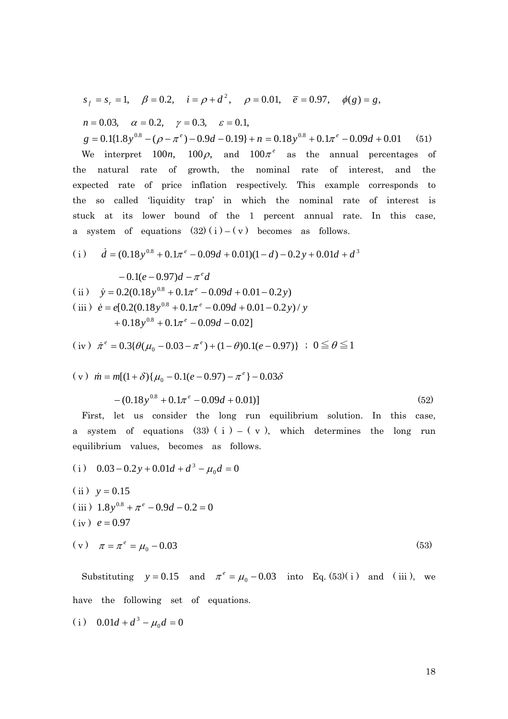$$
s_f = s_r = 1
$$
,  $\beta = 0.2$ ,  $i = \rho + d^2$ ,  $\rho = 0.01$ ,  $\bar{e} = 0.97$ ,  $\phi(g) = g$ ,

$$
n = 0.03
$$
,  $\alpha = 0.2$ ,  $\gamma = 0.3$ ,  $\varepsilon = 0.1$ ,

 $g = 0.1\{1.8y^{0.8} - (\rho - \pi^e) - 0.9d - 0.19\} + n = 0.18y^{0.8} + 0.1\pi^e - 0.09d + 0.01$  (51) We interpret  $100n$ ,  $100\rho$ , and  $100\pi^e$  as the annual percentages of the natural rate of growth, the nominal rate of interest, and the expected rate of price inflation respectively. This example corresponds to the so called 'liquidity trap' in which the nominal rate of interest is stuck at its lower bound of the 1 percent annual rate. In this case, a system of equations  $(32)(i) - (v)$  becomes as follows.

(i) 
$$
\dot{d} = (0.18y^{0.8} + 0.1\pi^e - 0.09d + 0.01)(1 - d) - 0.2y + 0.01d + d^3
$$

$$
-0.1(e-0.97)d - \pi^{e}d
$$
  
(ii)  $\dot{y} = 0.2(0.18y^{0.8} + 0.1\pi^{e} - 0.09d + 0.01 - 0.2y)$   
(iii)  $\dot{e} = e[0.2(0.18y^{0.8} + 0.1\pi^{e} - 0.09d + 0.01 - 0.2y)/y$   
 $+ 0.18y^{0.8} + 0.1\pi^{e} - 0.09d - 0.02]$ 

$$
(iv) \quad \dot{\pi}^e = 0.3\{\theta(\mu_0 - 0.03 - \pi^e) + (1 - \theta)0.1(e - 0.97)\} \quad ; \quad 0 \le \theta \le 1
$$

$$
(v) \quad \dot{m} = m[(1+\delta)\{\mu_0 - 0.1(e-0.97) - \pi^e\} - 0.03\delta
$$

$$
- (0.18y^{0.8} + 0.1\pi^e - 0.09d + 0.01)] \tag{52}
$$

First, let us consider the long run equilibrium solution. In this case, a system of equations (33) ( $i$ ) – ( $v$ ), which determines the long run equilibrium values, becomes as follows.

(i) 
$$
0.03 - 0.2y + 0.01d + d^3 - \mu_0 d = 0
$$
  
\n(ii)  $y = 0.15$   
\n(iii)  $1.8y^{0.8} + \pi^e - 0.9d - 0.2 = 0$   
\n(iv)  $e = 0.97$   
\n(v)  $\pi = \pi^e = \mu_0 - 0.03$  (53)

Substituting  $y = 0.15$  and  $\pi^e = \mu_0 - 0.03$  into Eq. (53)( i) and (iii), we have the following set of equations.

(i) 
$$
0.01d + d^3 - \mu_0 d = 0
$$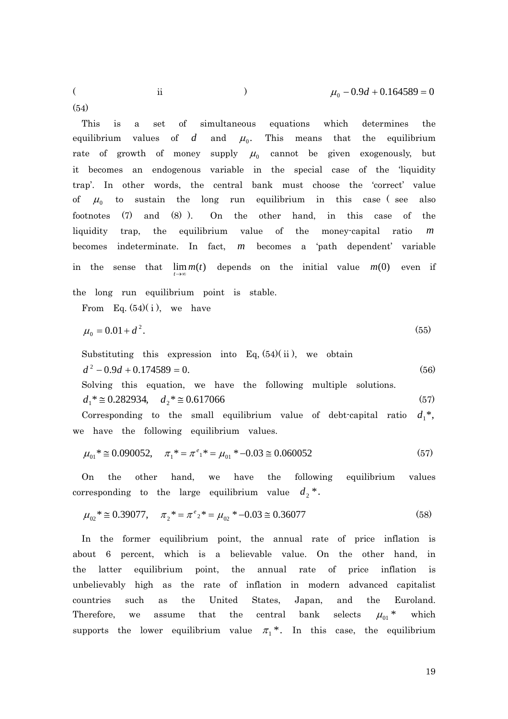(54)

This is a set of simultaneous equations which determines the equilibrium values of  $d$  and  $\mu_0$ . This means that the equilibrium rate of growth of money supply  $\mu_0$  cannot be given exogenously, but it becomes an endogenous variable in the special case of the 'liquidity trap'. In other words, the central bank must choose the 'correct' value of  $\mu_0$  to sustain the long run equilibrium in this case (see also footnotes (7) and (8) ). On the other hand, in this case of the liquidity trap, the equilibrium value of the money-capital ratio *m* becomes indeterminate. In fact, m becomes a 'path dependent' variable in the sense that  $\lim_{t \to \infty} m(t)$  depends on the initial value  $m(0)$  even if the long run equilibrium point is stable.

From Eq.  $(54)(i)$ , we have

$$
\mu_0 = 0.01 + d^2. \tag{55}
$$

Substituting this expression into Eq,  $(54)(ii)$ , we obtain  $d^2 - 0.9d + 0.174589 = 0.$  (56)

Solving this equation, we have the following multiple solutions.  
\n
$$
d_1^* \approx 0.282934
$$
,  $d_2^* \approx 0.617066$  (57)

Corresponding to the small equilibrium value of debt-capital ratio  $d_1^*$ , we have the following equilibrium values.

$$
\mu_{01}^* \cong 0.090052, \quad \pi_1^* = \pi^e_{1*} = \mu_{01}^* - 0.03 \cong 0.060052 \tag{57}
$$

On the other hand, we have the following equilibrium values corresponding to the large equilibrium value  $d_2$ <sup>\*</sup>.

$$
\mu_{02}^* \cong 0.39077, \quad \pi_2^* = \pi^e{}_2^* = \mu_{02}^* - 0.03 \cong 0.36077 \tag{58}
$$

In the former equilibrium point, the annual rate of price inflation is about 6 percent, which is a believable value. On the other hand, in the latter equilibrium point, the annual rate of price inflation is unbelievably high as the rate of inflation in modern advanced capitalist countries such as the United States, Japan, and the Euroland. Therefore, we assume that the central bank selects  $\mu_{01}$ <sup>\*</sup> which supports the lower equilibrium value  $\pi_1^*$ . In this case, the equilibrium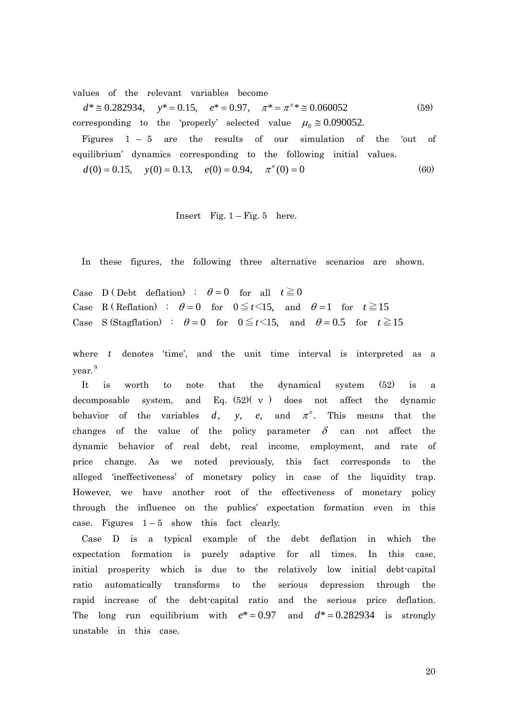values of the relevant variables become

 $d^* \approx 0.282934$ ,  $y^* = 0.15$ ,  $e^* = 0.97$ ,  $\pi^* = \pi^{e*} \approx 0.060052$  (59) corresponding to the 'properly' selected value  $\mu_0 \approx 0.090052$ .

Figures  $1 - 5$  are the results of our simulation of the 'out of equilibrium' dynamics corresponding to the following initial values.

 $d(0) = 0.15$ ,  $y(0) = 0.13$ ,  $e(0) = 0.94$ ,  $\pi^e(0) = 0$  (60)

Insert Fig.  $1 -$  Fig. 5 here.

In these figures, the following three alternative scenarios are shown.

Case D (Debt deflation) :  $\theta = 0$  for all  $t \ge 0$ Case R (Reflation) :  $\theta = 0$  for  $0 \le t < 15$ , and  $\theta = 1$  for  $t \ge 15$ Case S (Stagflation) :  $\theta = 0$  for  $0 \le t < 15$ , and  $\theta = 0.5$  for  $t \ge 15$ 

where *t* denotes 'time', and the unit time interval is interpreted as a year. 9

It is worth to note that the dynamical system (52) is a decomposable system, and Eq.  $(52)(\text{ v})$  does not affect the dynamic behavior of the variables  $d$ , *y*, *e*, and  $\pi^e$ . This means that the changes of the value of the policy parameter  $\delta$  can not affect the dynamic behavior of real debt, real income, employment, and rate of price change. As we noted previously, this fact corresponds to the alleged 'ineffectiveness' of monetary policy in case of the liquidity trap. However, we have another root of the effectiveness of monetary policy through the influence on the publics' expectation formation even in this case. Figures  $1-5$  show this fact clearly.

Case D is a typical example of the debt deflation in which the expectation formation is purely adaptive for all times. In this case, initial prosperity which is due to the relatively low initial debt-capital ratio automatically transforms to the serious depression through the rapid increase of the debt-capital ratio and the serious price deflation. The long run equilibrium with  $e^* = 0.97$  and  $d^* = 0.282934$  is strongly unstable in this case.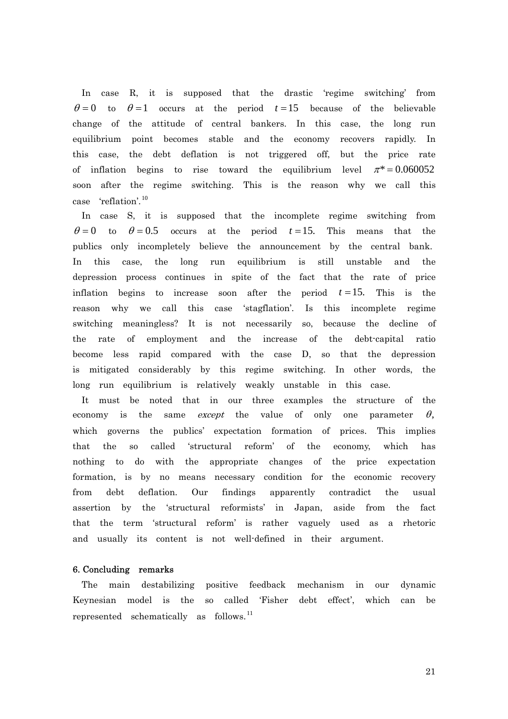In case R, it is supposed that the drastic 'regime switching' from  $\theta = 0$  to  $\theta = 1$  occurs at the period  $t = 15$  because of the believable change of the attitude of central bankers. In this case, the long run equilibrium point becomes stable and the economy recovers rapidly. In this case, the debt deflation is not triggered off, but the price rate of inflation begins to rise toward the equilibrium level  $\pi^* = 0.060052$ soon after the regime switching. This is the reason why we call this case 'reflation'. <sup>10</sup>

In case S, it is supposed that the incomplete regime switching from  $\theta = 0$  to  $\theta = 0.5$  occurs at the period  $t = 15$ . This means that the publics only incompletely believe the announcement by the central bank. In this case, the long run equilibrium is still unstable and the depression process continues in spite of the fact that the rate of price inflation begins to increase soon after the period  $t = 15$ . This is the reason why we call this case 'stagflation'. Is this incomplete regime switching meaningless? It is not necessarily so, because the decline of the rate of employment and the increase of the debt-capital ratio become less rapid compared with the case D, so that the depression is mitigated considerably by this regime switching. In other words, the long run equilibrium is relatively weakly unstable in this case.

It must be noted that in our three examples the structure of the economy is the same *except* the value of only one parameter  $\theta$ , which governs the publics' expectation formation of prices. This implies that the so called 'structural reform' of the economy, which has nothing to do with the appropriate changes of the price expectation formation, is by no means necessary condition for the economic recovery from debt deflation. Our findings apparently contradict the usual assertion by the 'structural reformists' in Japan, aside from the fact that the term 'structural reform' is rather vaguely used as a rhetoric and usually its content is not well-defined in their argument.

## 6. Concluding remarks

The main destabilizing positive feedback mechanism in our dynamic Keynesian model is the so called 'Fisher debt effect', which can be represented schematically as follows.<sup>11</sup>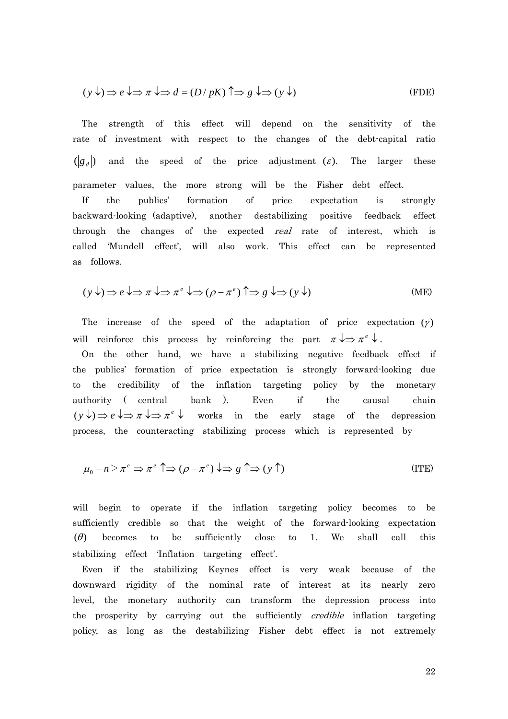$$
(y \downarrow) \Rightarrow e \downarrow \Rightarrow \pi \downarrow \Rightarrow d = (D / pK) \uparrow \Rightarrow g \downarrow \Rightarrow (y \downarrow)
$$
 (FDE)

The strength of this effect will depend on the sensitivity of the rate of investment with respect to the changes of the debt-capital ratio  $\left( \begin{matrix} g_d \end{matrix} \right)$  and the speed of the price adjustment (*ε*). The larger these parameter values, the more strong will be the Fisher debt effect. If the publics' formation of price expectation is strongly backward-looking (adaptive), another destabilizing positive feedback effect through the changes of the expected *real* rate of interest, which is called 'Mundell effect', will also work. This effect can be represented as follows.

$$
(y \downarrow) \Rightarrow e \downarrow \Rightarrow \pi \downarrow \Rightarrow \pi^e \downarrow \Rightarrow (\rho - \pi^e) \uparrow \Rightarrow g \downarrow \Rightarrow (y \downarrow)
$$
 (ME)

The increase of the speed of the adaptation of price expectation  $(y)$ will reinforce this process by reinforcing the part  $\pi \downarrow \Rightarrow \pi^e \downarrow$ .

On the other hand, we have a stabilizing negative feedback effect if the publics' formation of price expectation is strongly forward-looking due to the credibility of the inflation targeting policy by the monetary authority ( central bank ). Even if the causal chain  $(y \downarrow) \Rightarrow e \downarrow \Rightarrow \pi \downarrow \Rightarrow \pi^e \downarrow$  works in the early stage of the depression process, the counteracting stabilizing process which is represented by

$$
\mu_0 - n \ge \pi^e \Rightarrow \pi^e \uparrow \Rightarrow (\rho - \pi^e) \downarrow \Rightarrow g \uparrow \Rightarrow (y \uparrow)
$$
 (ITE)

will begin to operate if the inflation targeting policy becomes to be sufficiently credible so that the weight of the forward-looking expectation  $(\theta)$  becomes to be sufficiently close to 1. We shall call this stabilizing effect 'Inflation targeting effect'.

Even if the stabilizing Keynes effect is very weak because of the downward rigidity of the nominal rate of interest at its nearly zero level, the monetary authority can transform the depression process into the prosperity by carrying out the sufficiently *credible* inflation targeting policy, as long as the destabilizing Fisher debt effect is not extremely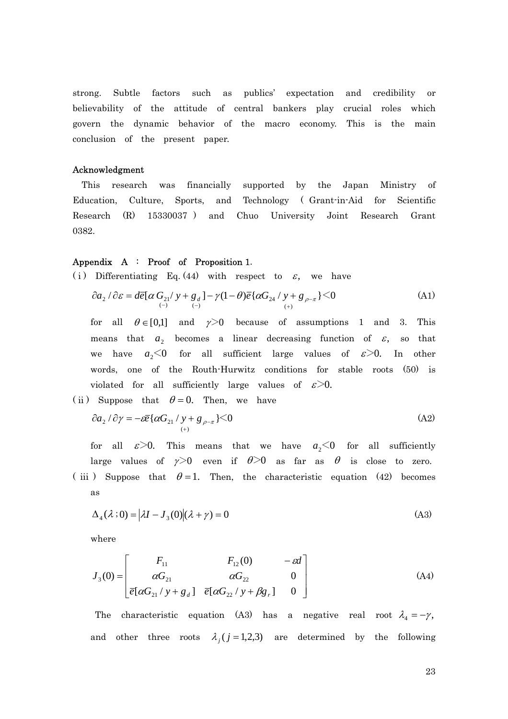strong. Subtle factors such as publics' expectation and credibility or believability of the attitude of central bankers play crucial roles which govern the dynamic behavior of the macro economy. This is the main conclusion of the present paper.

## Acknowledgment

This research was financially supported by the Japan Ministry of Education, Culture, Sports, and Technology ( Grant-in-Aid for Scientific Research (R) 15330037 ) and Chuo University Joint Research Grant 0382.

## Appendix A : Proof of Proposition 1.

(i) Differentiating Eq. (44) with respect to  $\varepsilon$ , we have

$$
\partial a_2 / \partial \varepsilon = d\overline{e} \left[ \alpha G_{21} / y + g_d \right] - \gamma (1 - \theta) \overline{e} \left\{ \alpha G_{24} / y + g_{\rho - \pi} \right\} < 0
$$
\n(A1)

for all  $\theta \in [0,1]$  and  $\gamma > 0$  because of assumptions 1 and 3. This means that  $a_2$  becomes a linear decreasing function of  $\varepsilon$ , so that we have  $a_2 < 0$  for all sufficient large values of  $\varepsilon > 0$ . In other words, one of the Routh-Hurwitz conditions for stable roots (50) is violated for all sufficiently large values of  $\varepsilon > 0$ .

(ii) Suppose that  $\theta = 0$ . Then, we have

$$
\partial a_2 / \partial \gamma = -\varepsilon \overline{e} \{ \alpha G_{21} / \underset{(+)}{\gamma + g_{\rho - \pi}} \} < 0 \tag{A2}
$$

for all  $\varepsilon > 0$ . This means that we have  $a_2 < 0$  for all sufficiently large values of  $\gamma$ >0 even if  $\theta$ >0 as far as  $\theta$  is close to zero.

(iii) Suppose that  $\theta = 1$ . Then, the characteristic equation (42) becomes as

$$
\Delta_4(\lambda;0) = |\lambda I - J_3(0)|(\lambda + \gamma) = 0 \tag{A3}
$$

where

$$
J_3(0) = \begin{bmatrix} F_{11} & F_{12}(0) & -\varepsilon d \\ \alpha G_{21} & \alpha G_{22} & 0 \\ \overline{e}[\alpha G_{21}/y + g_d] & \overline{e}[\alpha G_{22}/y + \beta g_r] & 0 \end{bmatrix}
$$
(A4)

The characteristic equation (A3) has a negative real root  $\lambda_4 = -\gamma$ , and other three roots  $\lambda_j$  ( $j = 1,2,3$ ) are determined by the following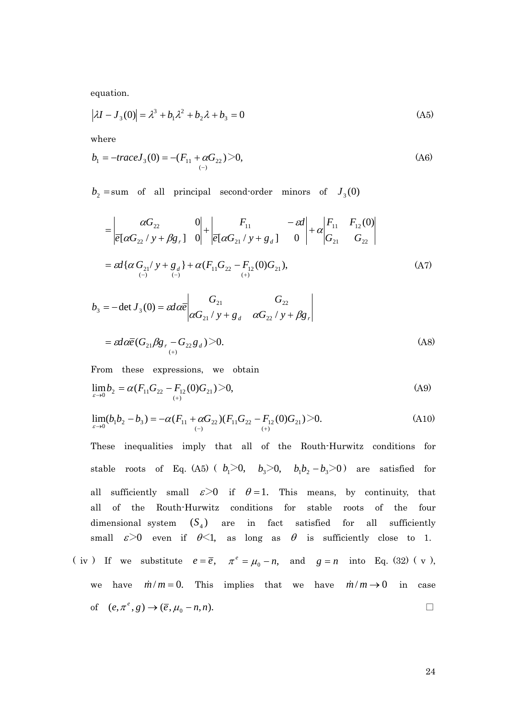equation.

$$
|\lambda I - J_3(0)| = \lambda^3 + b_1 \lambda^2 + b_2 \lambda + b_3 = 0
$$
 (A5)

where

$$
b_1 = -traceJ_3(0) = -(F_{11} + \alpha G_{22}) > 0,
$$
\n(A6)

 $b_2$  = sum of all principal second-order minors of  $J_3(0)$ 

$$
= \begin{vmatrix} \alpha G_{22} & 0 \\ \overline{e}[\alpha G_{22}/y + \beta g_{r}] & 0 \end{vmatrix} + \begin{vmatrix} F_{11} & -\epsilon d \\ \overline{e}[\alpha G_{21}/y + g_{d}] & 0 \end{vmatrix} + \alpha \begin{vmatrix} F_{11} & F_{12}(0) \\ G_{21} & G_{22} \end{vmatrix}
$$
  
=  $\epsilon d {\alpha G_{21}/y + g_{d} + \alpha (F_{11}G_{22} - F_{12}(0)G_{21})$ , (A7)

$$
b_3 = -\det J_3(0) = \operatorname{ed}\alpha \overline{e} \begin{vmatrix} G_{21} & G_{22} \\ \alpha G_{21} / y + g_d & \alpha G_{22} / y + \beta g_r \end{vmatrix}
$$
  
=  $\operatorname{ed}\alpha \overline{e} (G_{21} \beta g_r - G_{22} g_d) > 0.$  (A8)

From these expressions, we obtain

$$
\lim_{\varepsilon \to 0} b_2 = \alpha (F_{11} G_{22} - F_{12} (0) G_{21}) > 0,
$$
\n(A9)

$$
\lim_{\varepsilon \to 0} (b_1 b_2 - b_3) = -\alpha (F_{11} + \alpha G_{22}) (F_{11} G_{22} - F_{12} (0) G_{21}) > 0. \tag{A10}
$$

These inequalities imply that all of the Routh-Hurwitz conditions for stable roots of Eq. (A5) ( $b_1 > 0$ ,  $b_3 > 0$ ,  $b_1b_2 - b_3 > 0$ ) are satisfied for all sufficiently small  $\varepsilon > 0$  if  $\theta = 1$ . This means, by continuity, that all of the Routh-Hurwitz conditions for stable roots of the four dimensional system  $(S_4)$  are in fact satisfied for all sufficiently small  $\varepsilon > 0$  even if  $\theta < 1$ , as long as  $\theta$  is sufficiently close to 1. ( iv ) If we substitute  $e = \overline{e}$ ,  $\pi^e = \mu_0 - n$ , and  $g = n$  into Eq. (32) (v),

we have 
$$
\dot{m}/m = 0
$$
. This implies that we have  $\dot{m}/m \rightarrow 0$  in case  
of  $(e, \pi^e, g) \rightarrow (\bar{e}, \mu_0 - n, n)$ .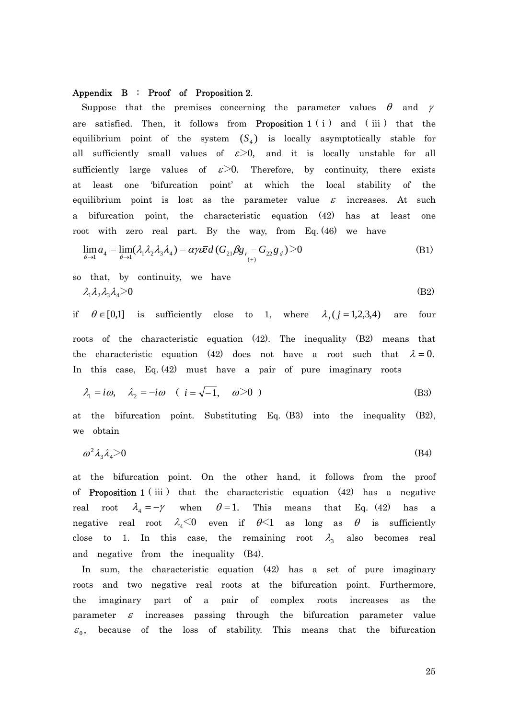#### Appendix B : Proof of Proposition 2.

Suppose that the premises concerning the parameter values  $\theta$  and  $\gamma$ are satisfied. Then, it follows from **Proposition 1** ( $i$ ) and ( $ii$ ) that the equilibrium point of the system  $(S_4)$  is locally asymptotically stable for all sufficiently small values of  $\varepsilon > 0$ , and it is locally unstable for all sufficiently large values of  $\varepsilon > 0$ . Therefore, by continuity, there exists at least one 'bifurcation point' at which the local stability of the equilibrium point is lost as the parameter value  $\varepsilon$  increases. At such a bifurcation point, the characteristic equation (42) has at least one root with zero real part. By the way, from Eq. (46) we have

$$
\lim_{\theta \to 1} a_4 = \lim_{\theta \to 1} (\lambda_1 \lambda_2 \lambda_3 \lambda_4) = \alpha \gamma \bar{e} \bar{e} d \left( G_{21} \beta g_{r} - G_{22} g_{d} \right) > 0
$$
\n(B1)

so that, by continuity, we have  $\lambda_1\lambda_2\lambda_3\lambda_4$ 

$$
\lambda_1 \lambda_2 \lambda_3 \lambda_4 > 0 \tag{B2}
$$

if  $\theta \in [0,1]$  is sufficiently close to 1, where  $\lambda_i$  ( $j = 1,2,3,4$ ) are four roots of the characteristic equation (42). The inequality (B2) means that the characteristic equation (42) does not have a root such that  $\lambda = 0$ . In this case, Eq. (42) must have a pair of pure imaginary roots

$$
\lambda_1 = i\omega, \quad \lambda_2 = -i\omega \quad (i = \sqrt{-1}, \quad \omega > 0 \quad (B3)
$$

at the bifurcation point. Substituting Eq. (B3) into the inequality (B2), we obtain

$$
\omega^2 \lambda_3 \lambda_4 > 0 \tag{B4}
$$

at the bifurcation point. On the other hand, it follows from the proof of **Proposition 1** (iii) that the characteristic equation  $(42)$  has a negative real root  $\lambda_4 = -\gamma$  when  $\theta = 1$ . This means that Eq. (42) has a negative real root  $\lambda_4<0$  even if  $\theta<1$  as long as  $\theta$  is sufficiently close to 1. In this case, the remaining root  $\lambda_3$  also becomes real and negative from the inequality (B4).

In sum, the characteristic equation (42) has a set of pure imaginary roots and two negative real roots at the bifurcation point. Furthermore, the imaginary part of a pair of complex roots increases as the parameter  $\varepsilon$  increases passing through the bifurcation parameter value  $\varepsilon_0$ , because of the loss of stability. This means that the bifurcation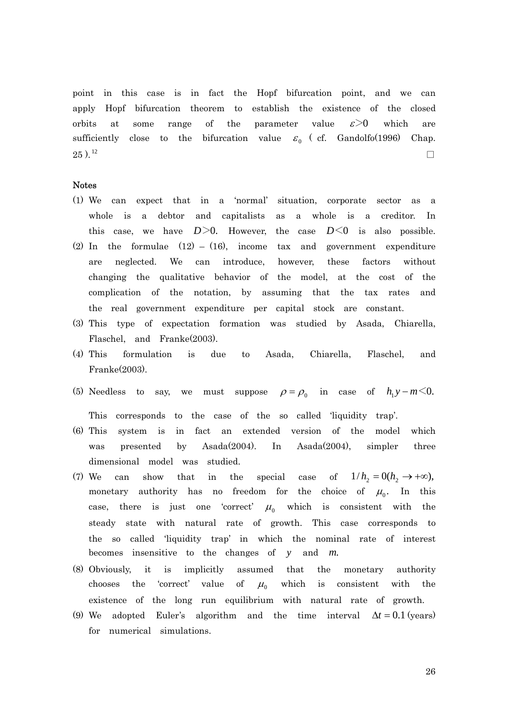point in this case is in fact the Hopf bifurcation point, and we can apply Hopf bifurcation theorem to establish the existence of the closed orbits at some range of the parameter value  $\varepsilon$ >0 which are sufficiently close to the bifurcation value  $\varepsilon_0$  (cf. Gandolfo(1996) Chap.  $25$  ).<sup>12</sup> □

#### Notes

- (1) We can expect that in a 'normal' situation, corporate sector as a whole is a debtor and capitalists as a whole is a creditor. In this case, we have  $D>0$ . However, the case  $D<0$  is also possible.
- (2) In the formulae  $(12) (16)$ , income tax and government expenditure are neglected. We can introduce, however, these factors without changing the qualitative behavior of the model, at the cost of the complication of the notation, by assuming that the tax rates and the real government expenditure per capital stock are constant.
- (3) This type of expectation formation was studied by Asada, Chiarella, Flaschel, and Franke(2003).
- (4) This formulation is due to Asada, Chiarella, Flaschel, and Franke(2003).
- (5) Needless to say, we must suppose  $\rho = \rho_0$  in case of  $h_1 y m \le 0$ .

This corresponds to the case of the so called 'liquidity trap'.

- (6) This system is in fact an extended version of the model which was presented by Asada(2004). In Asada(2004), simpler three dimensional model was studied.
- $(7)$  We can show that in the special case monetary authority has no freedom for the choice of  $\mu_0$ . In this of  $1/h_2 = 0(h_2 \rightarrow +\infty)$ , case, there is just one 'correct'  $\mu_0$  which is consistent with the steady state with natural rate of growth. This case corresponds to the so called 'liquidity trap' in which the nominal rate of interest becomes insensitive to the changes of *y* and *m*.
- (8) Obviously, it is implicitly assumed that the monetary authority chooses the 'correct' value of  $\mu_0$  which is consistent with the existence of the long run equilibrium with natural rate of growth.
- (9) We adopted Euler's algorithm and the time interval  $\Delta t = 0.1$  (years) for numerical simulations.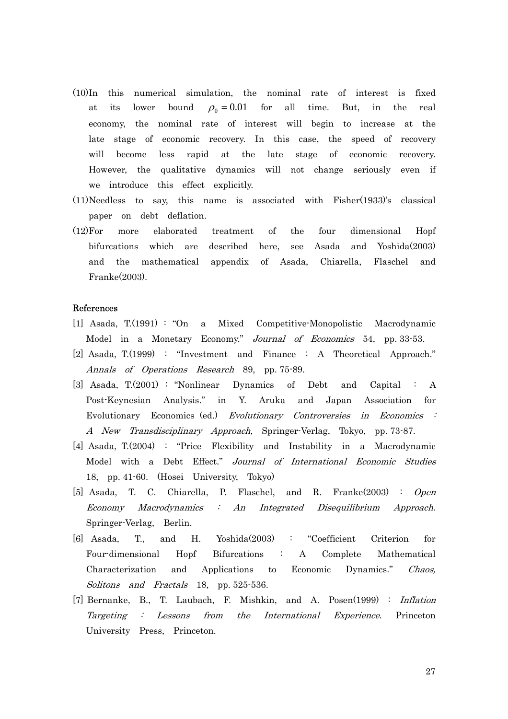- (10)In this numerical simulation, the nominal rate of interest is fixed at its lower bound  $\rho_0 = 0.01$  for all time. But, in the real economy, the nominal rate of interest will begin to increase at the late stage of economic recovery. In this case, the speed of recovery will become less rapid at the late stage of economic recovery. However, the qualitative dynamics will not change seriously even if we introduce this effect explicitly.
- (11)Needless to say, this name is associated with Fisher(1933)'s classical paper on debt deflation.
- (12)For more elaborated treatment of the four dimensional Hopf bifurcations which are described here, see Asada and Yoshida(2003) and the mathematical appendix of Asada, Chiarella, Flaschel and Franke(2003).

#### References

- [1] Asada, T.(1991) : "On a Mixed Competitive-Monopolistic Macrodynamic Model in a Monetary Economy." Journal of Economics 54, pp. 33-53.
- [2] Asada, T.(1999) : "Investment and Finance : A Theoretical Approach." Annals of Operations Research 89, pp. 75-89.
- [3] Asada, T.(2001) : "Nonlinear Dynamics of Debt and Capital : A Post-Keynesian Analysis." in Y. Aruka and Japan Association for Evolutionary Economics (ed.) Evolutionary Controversies in Economics : A New Transdisciplinary Approach, Springer-Verlag, Tokyo, pp. 73-87.
- [4] Asada, T.(2004) : "Price Flexibility and Instability in a Macrodynamic Model with a Debt Effect." Journal of International Economic Studies 18, pp. 41-60. (Hosei University, Tokyo)
- [5] Asada, T. C. Chiarella, P. Flaschel, and R. Franke(2003) : Open Economy Macrodynamics : An Integrated Disequilibrium Approach. Springer-Verlag, Berlin.
- [6] Asada, T., and H. Yoshida(2003) : "Coefficient Criterion for Four-dimensional Hopf Bifurcations : A Complete Mathematical Characterization and Applications to Economic Dynamics." Chaos, Solitons and Fractals 18, pp. 525-536.
- Targeting : Lessons from the International Experience. Princeton [7] Bernanke, B., T. Laubach, F. Mishkin, and A. Posen(1999) : Inflation University Press, Princeton.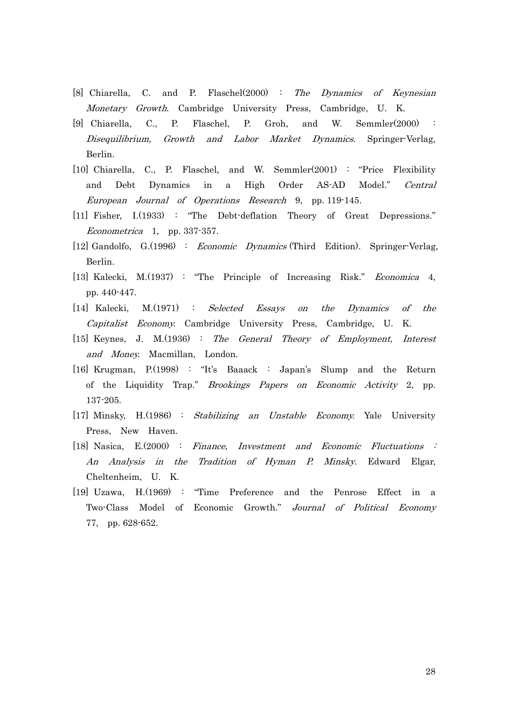- [8] Chiarella, C. and P. Flaschel(2000) : The Dynamics of Keynesian Monetary Growth. Cambridge University Press, Cambridge, U. K.
- [9] Chiarella, C., P. Flaschel, P. Groh, and W. Semmler(2000) : Disequilibrium, Growth and Labor Market Dynamics. Springer-Verlag, Berlin.
- [10] Chiarella, C., P. Flaschel, and W. Semmler(2001) : "Price Flexibility and Debt Dynamics in a High Order AS-AD Model." Central European Journal of Operations Research 9, pp. 119-145.
- $E$ conometrica 1, pp. 337-357. [11] Fisher, I.(1933) : "The Debt-deflation Theory of Great Depressions."
- [12] Gandolfo, G.(1996) : Economic Dynamics (Third Edition). Springer-Verlag, Berlin.
- [13] Kalecki, M.(1937) : "The Principle of Increasing Risk." *Economica* 4, pp. 440-447.
- [14] Kalecki, M.(1971) : Selected Essays on the Dynamics of the Capitalist Economy. Cambridge University Press, Cambridge, U. K.
- [15] Keynes, J. M.(1936) : The General Theory of Employment, Interest and Money. Macmillan, London.
- [16] Krugman, P.(1998) : "It's Baaack : Japan's Slump and the Return of the Liquidity Trap." Brookings Papers on Economic Activity 2, pp. 137-205.
- [17] Minsky, H.(1986) : Stabilizing an Unstable Economy. Yale University Press, New Haven.
- [18] Nasica, E.(2000) : Finance, Investment and Economic Fluctuations : An Analysis in the Tradition of Hyman P. Minsky. Edward Elgar, Cheltenheim, U. K.
- [19] Uzawa, H.(1969) : "Time Preference and the Penrose Effect in a Two-Class Model of Economic Growth." Journal of Political Economy 77, pp. 628-652.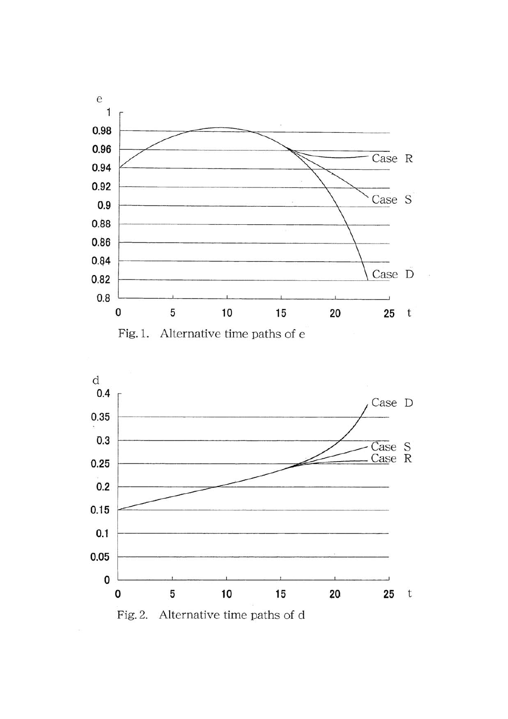

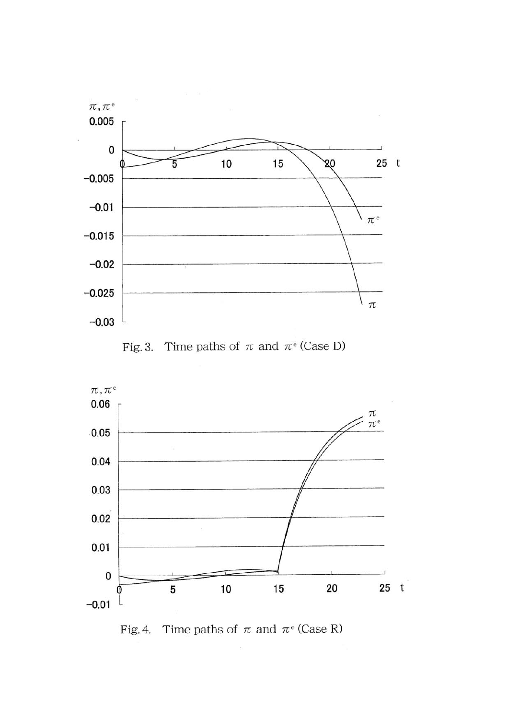





Fig. 4. Time paths of  $\pi$  and  $\pi$ <sup>e</sup> (Case R)